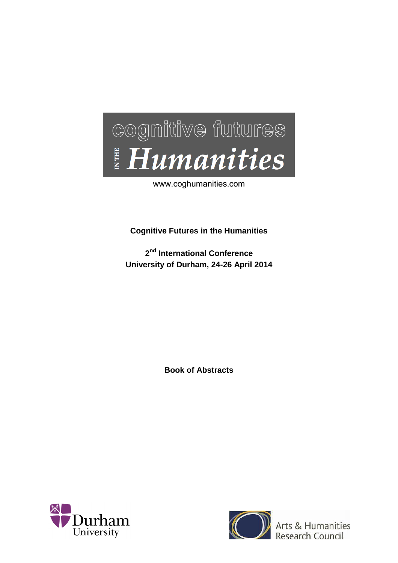

www.coghumanities.com

**Cognitive Futures in the Humanities**

**2 nd International Conference University of Durham, 24-26 April 2014**

**Book of Abstracts**





Arts & Humanities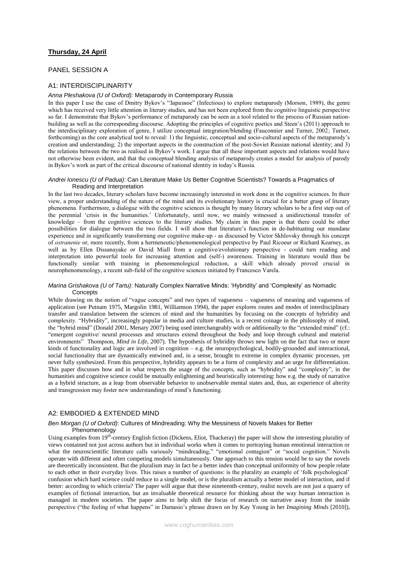# **Thursday, 24 April**

# PANEL SESSION A

# A1: INTERDISCIPLINARITY

### *Anna Pleshakova (U of Oxford):* Metaparody in Contemporary Russia

In this paper I use the case of Dmitry Bykov's "Заразное" (Infectious) to explore metaparody (Morson, 1989), the genre which has received very little attention in literary studies, and has not been explored from the cognitive linguistic perspective so far. I demonstrate that Bykov's performance of metaparody can be seen as a tool related to the process of Russian nationbuilding as well as the corresponding discourse. Adopting the principles of cognitive poetics and Steen's (2011) approach to the interdisciplinary exploration of genre, I utilize conceptual integration/blending (Fauconnier and Turner, 2002; Turner, forthcoming) as the core analytical tool to reveal: 1) the linguistic, conceptual and socio-cultural aspects of the metaparody's creation and understanding; 2) the important aspects in the construction of the post-Soviet Russian national identity; and 3) the relations between the two as realised in Bykov's work. I argue that all these important aspects and relations would have not otherwise been evident, and that the conceptual blending analysis of metaparody creates a model for analysis of parody in Bykov's work as part of the critical discourse of national identity in today's Russia.

### *Andrei Ionescu (U of Padua)*: Can Literature Make Us Better Cognitive Scientists? Towards a Pragmatics of Reading and Interpretation

In the last two decades, literary scholars have become increasingly interested in work done in the cognitive sciences. In their view, a proper understanding of the nature of the mind and its evolutionary history is crucial for a better grasp of literary phenomena. Furthermore, a dialogue with the cognitive sciences is thought by many literary scholars to be a first step out of the perennial 'crisis in the humanities.' Unfortunately, until now, we mainly witnessed a unidirectional transfer of knowledge – from the cognitive sciences to the literary studies. My claim in this paper is that there could be other possibilities for dialogue between the two fields. I will show that literature's function in de-habituating our mundane experience and in significantly transforming our cognitive make-up - as discussed by Victor Skhlovsky through his concept of *ostranenie* or, more recently, from a hermeneutic/phenomenological perspective by Paul Ricoeur or Richard Kearney, as well as by Ellen Dissanayake or David Miall from a cognitive/evolutionary perspective - could turn reading and interpretation into powerful tools for increasing attention and (self-) awareness. Training in literature would thus be functionally similar with training in phenomenological reduction, a skill which already proved crucial in neurophenomenology, a recent sub-field of the cognitive sciences initiated by Francesco Varela.

## *Marina Grishakova (U of Tartu)*: Naturally Complex Narrative Minds: 'Hybridity' and 'Complexity' as Nomadic **Concepts**

While drawing on the notion of "vague concepts" and two types of vagueness – vagueness of meaning and vagueness of application (see Putnam 1975, Margolin 1981, Williamson 1994), the paper explores routes and modes of interdisciplinary transfer and translation between the sciences of mind and the humanities by focusing on the concepts of hybridity and complexity. "Hybridity", increasingly popular in media and culture studies, is a recent coinage in the philosophy of mind, the "hybrid mind" (Donald 2001, Menary 2007) being used interchangeably with or additionally to the "extended mind" (cf.: "emergent cognitive/ neural processes and structures extend throughout the body and loop through cultural and material environments" Thompson, *Mind in Life*, 2007). The hypothesis of hybridity throws new light on the fact that two or more kinds of functionality and logic are involved in cognition  $-e.g.$  the neuropsychological, bodily-grounded and interactional, social functionality that are dynamically entwined and, in a sense, brought to extreme in complex dynamic processes, yet never fully synthesized. From this perspective, hybridity appears to be a form of complexity and an urge for differentiation. This paper discusses how and in what respects the usage of the concepts, such as "hybridity" and "complexity", in the humanities and cognitive science could be mutually enlightening and heuristically interesting: how e.g. the study of narrative as a hybrid structure, as a leap from observable behavior to unobservable mental states and, thus, an experience of alterity and transgression may foster new understandings of mind's functioning.

# A2: EMBODIED & EXTENDED MIND

### *Ben Morgan (U of Oxford)*: Cultures of Mindreading: Why the Messiness of Novels Makes for Better Phenomenology

Using examples from 19<sup>th</sup>-century English fiction (Dickens, Eliot, Thackeray) the paper will show the interesting plurality of views contained not just across authors but in individual works when it comes to portraying human emotional interaction or what the neuroscientific literature calls variously "mindreading," "emotional contagion" or "social cognition." Novels operate with different and often competing models simultaneously. One approach to this tension would be to say the novels are theoretically inconsistent. But the pluralism may in fact be a better index than conceptual uniformity of how people relate to each other in their everyday lives. This raises a number of questions: is the plurality an example of 'folk psychological' confusion which hard science could reduce to a single model, or is the pluralism actually a better model of interaction, and if better: according to which criteria? The paper will argue that these nineteenth-century, realist novels are not just a quarry of examples of fictional interaction, but an invaluable theoretical resource for thinking about the way human interaction is managed in modern societies. The paper aims to help shift the focus of research on narrative away from the inside perspective ("the feeling of what happens" in Damasio's phrase drawn on by Kay Young in her *Imagining Minds* [2010]),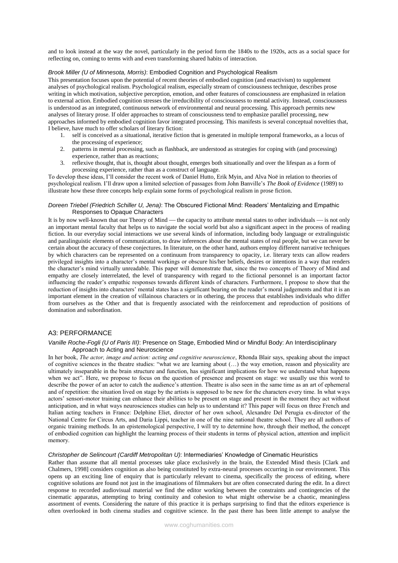and to look instead at the way the novel, particularly in the period form the 1840s to the 1920s, acts as a social space for reflecting on, coming to terms with and even transforming shared habits of interaction.

### *Brook Miller (U of Minnesota, Morris)*: Embodied Cognition and Psychological Realism

This presentation focuses upon the potential of recent theories of embodied cognition (and enactivism) to supplement analyses of psychological realism. Psychological realism, especially stream of consciousness technique, describes prose writing in which motivation, subjective perception, emotion, and other features of consciousness are emphasized in relation to external action. Embodied cognition stresses the irreducibility of consciousness to mental activity. Instead, consciousness is understood as an integrated, continuous network of environmental and neural processing. This approach permits new analyses of literary prose. If older approaches to stream of consciousness tend to emphasize parallel processing, new approaches informed by embodied cognition favor integrated processing. This manifests is several conceptual novelties that, I believe, have much to offer scholars of literary fiction:

- 1. self is conceived as a situational, iterative fiction that is generated in multiple temporal frameworks, as a locus of the processing of experience;
- 2. patterns in mental processing, such as flashback, are understood as strategies for coping with (and processing) experience, rather than as reactions;
- 3. reflexive thought, that is, thought about thought, emerges both situationally and over the lifespan as a form of processing experience, rather than as a construct of language.

To develop these ideas, I'll consider the recent work of Daniel Hutto, Erik Myin, and Alva Noë in relation to theories of psychological realism. I'll draw upon a limited selection of passages from John Banville's *The Book of Evidence* (1989) to illustrate how these three concepts help explain some forms of psychological realism in prose fiction.

## *Doreen Triebel (Friedrich Schiller U, Jena)*: The Obscured Fictional Mind: Readers' Mentalizing and Empathic Responses to Opaque Characters

It is by now well-known that our Theory of Mind — the capacity to attribute mental states to other individuals — is not only an important mental faculty that helps us to navigate the social world but also a significant aspect in the process of reading fiction. In our everyday social interactions we use several kinds of information, including body language or extralinguistic and paralinguistic elements of communication, to draw inferences about the mental states of real people, but we can never be certain about the accuracy of these conjectures. In literature, on the other hand, authors employ different narrative techniques by which characters can be represented on a continuum from transparency to opacity, i.e. literary texts can allow readers privileged insights into a character's mental workings or obscure his/her beliefs, desires or intentions in a way that renders the character's mind virtually unreadable. This paper will demonstrate that, since the two concepts of Theory of Mind and empathy are closely interrelated, the level of transparency with regard to the fictional personnel is an important factor influencing the reader's empathic responses towards different kinds of characters. Furthermore, I propose to show that the reduction of insights into characters' mental states has a significant bearing on the reader's moral judgements and that it is an important element in the creation of villainous characters or in othering, the process that establishes individuals who differ from ourselves as the Other and that is frequently associated with the reinforcement and reproduction of positions of domination and subordination.

# A3: PERFORMANCE

## *Vanille Roche-Fogli (U of Paris III)*: Presence on Stage, Embodied Mind or Mindful Body: An Interdisciplinary Approach to Acting and Neuroscience

In her book, *The actor, image and action: acting and cognitive neuroscience*, Rhonda Blair says, speaking about the impact of cognitive sciences in the theatre studies: "what we are learning about (…) the way emotion, reason and physicality are ultimately inseparable in the brain structure and function, has significant implications for how we understand what happens when we act". Here, we propose to focus on the question of presence and present on stage: we usually use this word to describe the power of an actor to catch the audience's attention. Theatre is also seen in the same time as an art of ephemeral and of repetition: the situation lived on stage by the artists is supposed to be new for the characters every time. In what ways actors' sensori-motor training can enhance their abilities to be present on stage and present in the moment they act without anticipation, and in what ways neurosciences studies can help us to understand it? This paper will focus on three French and Italian acting teachers in France: Delphine Eliet, director of her own school, Alexandre Del Perugia ex-director of the National Centre for Circus Arts, and Daria Lippi, teacher in one of the nine national theatre school. They are all authors of organic training methods. In an epistemological perspective, I will try to determine how, through their method, the concept of embodied cognition can highlight the learning process of their students in terms of physical action, attention and implicit memory.

#### *Christopher de Selincourt (Cardiff Metropolitan U)*: Intermediaries' Knowledge of Cinematic Heuristics

Rather than assume that all mental processes take place exclusively in the brain, the Extended Mind thesis [Clark and Chalmers, 1998] considers cognition as also being constituted by extra-neural processes occurring in our environment. This opens up an exciting line of enquiry that is particularly relevant to cinema, specifically the process of editing, where cognitive solutions are found not just in the imaginations of filmmakers but are often consecrated during the edit. In a direct response to recorded audiovisual material we find the editor working between the constraints and contingencies of the cinematic apparatus, attempting to bring continuity and cohesion to what might otherwise be a chaotic, meaningless assortment of events. Considering the nature of this practice it is perhaps surprising to find that the editors experience is often overlooked in both cinema studies and cognitive science. In the past there has been little attempt to analyse the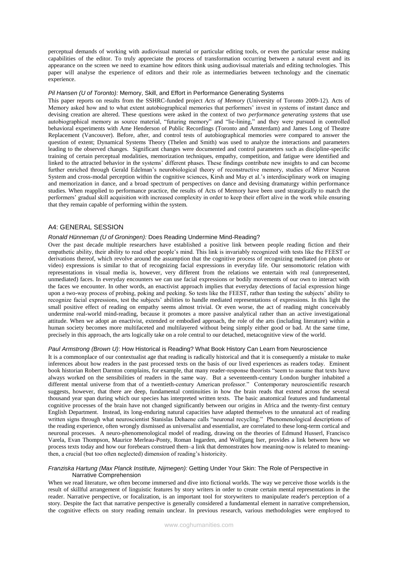perceptual demands of working with audiovisual material or particular editing tools, or even the particular sense making capabilities of the editor. To truly appreciate the process of transformation occurring between a natural event and its appearance on the screen we need to examine how editors think using audiovisual materials and editing technologies. This paper will analyse the experience of editors and their role as intermediaries between technology and the cinematic experience.

#### *Pil Hansen (U of Toronto):* Memory, Skill, and Effort in Performance Generating Systems

This paper reports on results from the SSHRC-funded project *Acts of Memory* (University of Toronto 2009-12). Acts of Memory asked how and to what extent autobiographical memories that performers' invest in systems of instant dance and devising creation are altered. These questions were asked in the context of two *performance generating systems* that use autobiographical memory as source material, "futuring memory" and "lie-lining," and they were pursued in controlled behavioral experiments with Ame Henderson of Public Recordings (Toronto and Amsterdam) and James Long of Theatre Replacement (Vancouver). Before, after, and control tests of autobiographical memories were compared to answer the question of extent; Dynamical Systems Theory (Thelen and Smith) was used to analyze the interactions and parameters leading to the observed changes. Significant changes were documented and control parameters such as discipline-specific training of certain perceptual modalities, memorization techniques, empathy, competition, and fatigue were identified and linked to the attracted behavior in the systems' different phases. These findings contribute new insights to and can become further enriched through Gerald Edelman's neurobiological theory of reconstructive memory, studies of Mirror Neuron System and cross-modal perception within the cognitive sciences, Kirsh and May et al.'s interdisciplinary work on imaging and memorization in dance, and a broad spectrum of perspectives on dance and devising dramaturgy within performance studies. When reapplied to performance practice, the results of Acts of Memory have been used strategically to match the performers' gradual skill acquisition with increased complexity in order to keep their effort alive in the work while ensuring that they remain capable of performing within the system.

## A4: GENERAL SESSION

## *Ronald Hünneman (U of Groningen):* Does Reading Undermine Mind-Reading?

Over the past decade multiple researchers have established a positive link between people reading fiction and their empathetic ability, their ability to read other people's mind. This link is invariably recognized with tests like the FEEST or derivations thereof, which revolve around the assumption that the cognitive process of recognizing mediated (on photo or video) expressions is similar to that of recognizing facial expressions in everyday life. Our sensomotoric relation with representations in visual media is, however, very different from the relations we entertain with real (unrepresented, unmediated) faces. In everyday encounters we can use facial expressions or bodily movements of our own to interact with the faces we encounter. In other words, an enactivist approach implies that everyday detections of facial expression hinge upon a two-way process of probing, poking and peeking. So tests like the FEEST, rather than testing the subjects' ability to recognize facial expressions, test the subjects' abilities to handle mediated representations of expressions. In this light the small positive effect of reading on empathy seems almost trivial. Or even worse, the act of reading might conceivably undermine real-world mind-reading, because it promotes a more passive analytical rather than an active investigational attitude. When we adopt an enactivist, extended or embodied approach, the role of the arts (including literature) within a human society becomes more multifaceted and multilayered without being simply either good or bad. At the same time, precisely in this approach, the arts logically take on a role central to our detached, metacognitive view of the world.

## *Paul Armstrong (Brown U)*: How Historical is Reading? What Book History Can Learn from Neuroscience

It is a commonplace of our contextualist age that reading is radically historical and that it is consequently a mistake to make inferences about how readers in the past processed texts on the basis of our lived experiences as readers today. Eminent book historian Robert Darnton complains, for example, that many reader-response theorists "seem to assume that texts have always worked on the sensibilities of readers in the same way. But a seventeenth-century London burgher inhabited a different mental universe from that of a twentieth-century American professor." Contemporary neuroscientific research suggests, however, that there are deep, fundamental continuities in how the brain reads that extend across the several thousand year span during which our species has interpreted written texts. The basic anatomical features and fundamental cognitive processes of the brain have not changed significantly between our origins in Africa and the twenty-first century English Department. Instead, its long-enduring natural capacities have adapted themselves to the unnatural act of reading written signs through what neuroscientist Stanislas Dehaene calls "neuronal recycling." Phenomenological descriptions of the reading experience, often wrongly dismissed as universalist and essentialist, are correlated to these long-term cortical and neuronal processes. A neuro-phenomenological model of reading, drawing on the theories of Edmund Husserl, Francisco Varela, Evan Thompson, Maurice Merleau-Ponty, Roman Ingarden, and Wolfgang Iser, provides a link between how we process texts today and how our forebears construed them–a link that demonstrates how meaning-now is related to meaningthen, a crucial (but too often neglected) dimension of reading's historicity.

#### *Franziska Hartung (Max Planck Institute, Nijmegen):* Getting Under Your Skin: The Role of Perspective in Narrative Comprehension

When we read literature, we often become immersed and dive into fictional worlds. The way we perceive those worlds is the result of skillful arrangement of linguistic features by story writers in order to create certain mental representations in the reader. Narrative perspective, or focalization, is an important tool for storywriters to manipulate reader's perception of a story. Despite the fact that narrative perspective is generally considered a fundamental element in narrative comprehension, the cognitive effects on story reading remain unclear. In previous research, various methodologies were employed to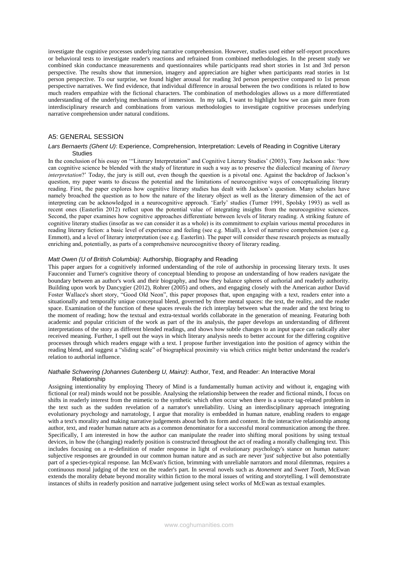investigate the cognitive processes underlying narrative comprehension. However, studies used either self-report procedures or behavioral tests to investigate reader's reactions and refrained from combined methodologies. In the present study we combined skin conductance measurements and questionnaires while participants read short stories in 1st and 3rd person perspective. The results show that immersion, imagery and appreciation are higher when participants read stories in 1st person perspective. To our surprise, we found higher arousal for reading 3rd person perspective compared to 1st person perspective narratives. We find evidence, that individual difference in arousal between the two conditions is related to how much readers empathize with the fictional characters. The combination of methodologies allows us a more differentiated understanding of the underlying mechanisms of immersion. In my talk, I want to highlight how we can gain more from interdisciplinary research and combinations from various methodologies to investigate cognitive processes underlying narrative comprehension under natural conditions.

## A5: GENERAL SESSION

### *Lars Bernaerts (Ghent U)*: Experience, Comprehension, Interpretation: Levels of Reading in Cognitive Literary **Studies**

In the conclusion of his essay on '"Literary Interpretation" and Cognitive Literary Studies' (2003), Tony Jackson asks: 'how can cognitive science be blended with the study of literature in such a way as to preserve the dialectical meaning of *literary interpretation*?' Today, the jury is still out, even though the question is a pivotal one. Against the backdrop of Jackson's question, my paper wants to discuss the potential and the limitations of neurocognitive ways of conceptualizing literary reading. First, the paper explores how cognitive literary studies has dealt with Jackson's question. Many scholars have namely broached the question as to how the nature of the literary object as well as the literary dimension of the act of interpreting can be acknowledged in a neurocognitive approach. 'Early' studies (Turner 1991, Spolsky 1993) as well as recent ones (Easterlin 2012) reflect upon the potential value of integrating insights from the neurocognitive sciences. Second, the paper examines how cognitive approaches differentiate between levels of literary reading. A striking feature of cognitive literary studies (insofar as we can consider it as a whole) is its commitment to explain various mental procedures in reading literary fiction: a basic level of experience and feeling (see e.g. Miall), a level of narrative comprehension (see e.g. Emmott), and a level of literary interpretation (see e.g. Easterlin). The paper will consider these research projects as mutually enriching and, potentially, as parts of a comprehensive neurocognitive theory of literary reading.

## *Matt Owen (U of British Columbia)*: Authorship, Biography and Reading

This paper argues for a cognitively informed understanding of the role of authorship in processing literary texts. It uses Fauconnier and Turner's cognitive theory of conceptual blending to propose an understanding of how readers navigate the boundary between an author's work and their biography, and how they balance spheres of authorial and readerly authority. Building upon work by Dancygier (2012), Rohrer (2005) and others, and engaging closely with the American author David Foster Wallace's short story, "Good Old Neon", this paper proposes that, upon engaging with a text, readers enter into a situationally and temporally unique conceptual blend, governed by three mental spaces: the text, the reality, and the reader space. Examination of the function of these spaces reveals the rich interplay between what the reader and the text bring to the moment of reading; how the textual and extra-textual worlds collaborate in the generation of meaning. Featuring both academic and popular criticism of the work as part of the its analysis, the paper develops an understanding of different interpretations of the story as different blended readings, and shows how subtle changes to an input space can radically alter received meaning. Further, I spell out the ways in which literary analysis needs to better account for the differing cognitive processes through which readers engage with a text. I propose further investigation into the position of agency within the reading blend, and suggest a "sliding scale" of biographical proximity via which critics might better understand the reader's relation to authorial influence.

### *Nathalie Schwering (Johannes Gutenberg U, Mainz)*: Author, Text, and Reader: An Interactive Moral Relationship

Assigning intentionality by employing Theory of Mind is a fundamentally human activity and without it, engaging with fictional (or real) minds would not be possible. Analysing the relationship between the reader and fictional minds, I focus on shifts in readerly interest from the mimetic to the synthetic which often occur when there is a source tag-related problem in the text such as the sudden revelation of a narrator's unreliability. Using an interdisciplinary approach integrating evolutionary psychology and narratology, I argue that morality is embedded in human nature, enabling readers to engage with a text's morality and making narrative judgements about both its form and content. In the interactive relationship among author, text, and reader human nature acts as a common denominator for a successful moral communication among the three. Specifically, I am interested in how the author can manipulate the reader into shifting moral positions by using textual devices, in how the (changing) readerly position is constructed throughout the act of reading a morally challenging text. This includes focusing on a re-definition of reader response in light of evolutionary psychology's stance on human nature: subjective responses are grounded in our common human nature and as such are never 'just' subjective but also potentially part of a species-typical response. Ian McEwan's fiction, brimming with unreliable narrators and moral dilemmas, requires a continuous moral judging of the text on the reader's part. In several novels such as *Atonement* and *Sweet Tooth*, McEwan extends the morality debate beyond morality within fiction to the moral issues of writing and storytelling. I will demonstrate instances of shifts in readerly position and narrative judgement using select works of McEwan as textual examples.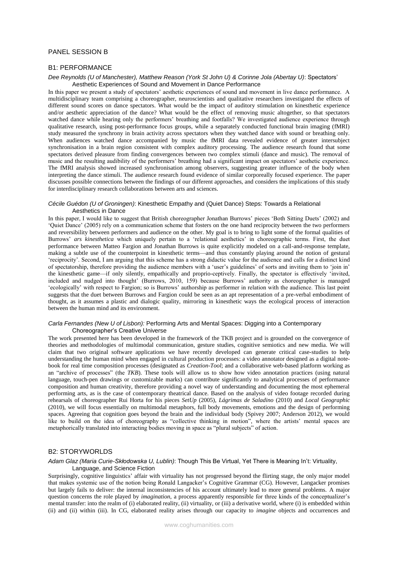# PANEL SESSION B

## B1: PERFORMANCE

## *Dee Reynolds (U of Manchester), Matthew Reason (York St John U) & Corinne Jola (Abertay U)*: Spectators' Aesthetic Experiences of Sound and Movement in Dance Performance

In this paper we present a study of spectators' aesthetic experiences of sound and movement in live dance performance. A multidisciplinary team comprising a choreographer, neuroscientists and qualitative researchers investigated the effects of different sound scores on dance spectators. What would be the impact of auditory stimulation on kinesthetic experience and/or aesthetic appreciation of the dance? What would be the effect of removing music altogether, so that spectators watched dance while hearing only the performers' breathing and footfalls? We investigated audience experience through qualitative research, using post-performance focus groups, while a separately conducted functional brain imaging (fMRI) study measured the synchrony in brain activity across spectators when they watched dance with sound or breathing only. When audiences watched dance accompanied by music the fMRI data revealed evidence of greater intersubject synchronisation in a brain region consistent with complex auditory processing. The audience research found that some spectators derived pleasure from finding convergences between two complex stimuli (dance and music). The removal of music and the resulting audibility of the performers' breathing had a significant impact on spectators' aesthetic experience. The fMRI analysis showed increased synchronisation among observers, suggesting greater influence of the body when interpreting the dance stimuli. The audience research found evidence of similar corporeally focused experience. The paper discusses possible connections between the findings of our different approaches, and considers the implications of this study for interdisciplinary research collaborations between arts and sciences.

### *Cécile Guédon (U of Groningen)*: Kinesthetic Empathy and (Quiet Dance) Steps: Towards a Relational Aesthetics in Dance

In this paper, I would like to suggest that British choreographer Jonathan Burrows' pieces 'Both Sitting Duets' (2002) and 'Quiet Dance' (2005) rely on a communication scheme that fosters on the one hand reciprocity between the two performers and reversibility between performers and audience on the other. My goal is to bring to light some of the formal qualities of Burrows' *ars kinesthetica* which uniquely pertain to a 'relational aesthetics' in choreographic terms. First, the duet performance between Matteo Fargion and Jonathan Burrows is quite explicitly modeled on a call-and-response template, making a subtle use of the counterpoint in kinesthetic terms—and thus constantly playing around the notion of gestural 'reciprocity'. Second, I am arguing that this scheme has a strong didactic value for the audience and calls for a distinct kind of spectatorship, therefore providing the audience members with a 'user's guidelines' of sorts and inviting them to 'join in' the kinesthetic game—if only silently, empathically and proprio-ceptively. Finally, the spectator is effectively 'invited, included and nudged into thought' (Burrows, 2010, 159) because Burrows' authority as choreographer is managed 'ecologically' with respect to Fargion; so is Burrows' authorship as performer in relation with the audience. This last point suggests that the duet between Burrows and Fargion could be seen as an apt representation of a pre-verbal embodiment of thought, as it assumes a plastic and dialogic quality, mirroring in kinesthetic ways the ecological process of interaction between the human mind and its environment.

### *Carla Fernandes (New U of Lisbon):* Performing Arts and Mental Spaces: Digging into a Contemporary Choreographer's Creative Universe

The work presented here has been developed in the framework of the TKB project and is grounded on the convergence of theories and methodologies of multimodal communication, gesture studies, cognitive semiotics and new media. We will claim that two original software applications we have recently developed can generate critical case-studies to help understanding the human mind when engaged in cultural production processes: a video annotator designed as a digital notebook for real time composition processes (designated as *Creation-Tool*; and a collaborative web-based platform working as an "archive of processes" (the *TKB*). These tools will allow us to show how video annotation practices (using natural language, touch-pen drawings or customizable marks) can contribute significantly to analytical processes of performance composition and human creativity, therefore providing a novel way of understanding and documenting the most ephemeral performing arts, as is the case of contemporary theatrical dance. Based on the analysis of video footage recorded during rehearsals of choreographer Rui Horta for his pieces *SetUp* (2005), *Lágrimas de Saladino* (2010) and *Local Geographic* (2010), we will focus essentially on multimodal metaphors, full body movements, emotions and the design of performing spaces. Agreeing that cognition goes beyond the brain and the individual body (Spivey 2007; Anderson 2012), we would like to build on the idea of choreography as "collective thinking in motion", where the artists' mental spaces are metaphorically translated into interacting bodies moving in space as "plural subjects" of action.

# B2: STORYWORLDS

#### *Adam Glaz (Maria Curie-Skłodowska U, Lublin)*: Though This Be Virtual, Yet There is Meaning In't: Virtuality, Language, and Science Fiction

Surprisingly, cognitive linguistics' affair with virtuality has not progressed beyond the flirting stage, the only major model that makes systemic use of the notion being Ronald Langacker's Cognitive Grammar (CG). However, Langacker promises but largely fails to deliver: the internal inconsistencies of his account ultimately lead to more general problems. A major question concerns the role played by *imagination*, a process apparently responsible for three kinds of the conceptualizer's mental transfer: into the realm of (i) elaborated reality, (ii) virtuality, or (iii) a derivative world, where (i) is embedded within (ii) and (ii) within (iii). In CG, elaborated reality arises through our capacity to *imagine* objects and occurrences and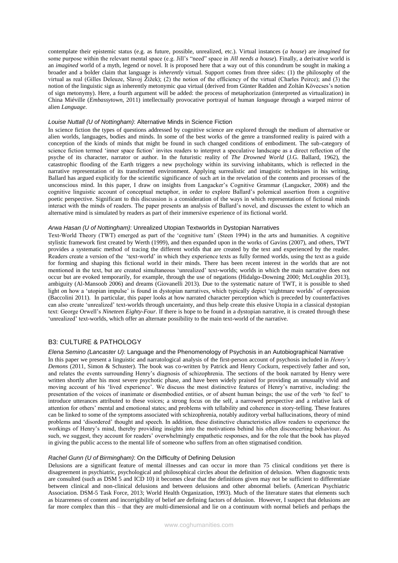contemplate their epistemic status (e.g. as future, possible, unrealized, etc.). Virtual instances (*a house*) are *imagined* for some purpose within the relevant mental space (e.g. Jill's "need" space in *Jill needs a house*). Finally, a derivative world is an *imagined* world of a myth, legend or novel. It is proposed here that a way out of this conundrum be sought in making a broader and a bolder claim that language is *inherently* virtual. Support comes from three sides: (1) the philosophy of the virtual as real (Gilles Deleuze, Slavoj Žižek); (2) the notion of the efficiency of the virtual (Charles Peirce); and (3) the notion of the linguistic sign as inherently metonymic *qua* virtual (derived from Günter Radden and Zoltán Kövecses's notion of sign metonymy). Here, a fourth argument will be added: the process of metaphorization (interpreted as virtualization) in China Miéville (*Embassytown*, 2011) intellectually provocative portrayal of human *language* through a warped mirror of alien *Language*.

## *Louise Nuttall (U of Nottingham)*: Alternative Minds in Science Fiction

In science fiction the types of questions addressed by cognitive science are explored through the medium of alternative or alien worlds, languages, bodies and minds. In some of the best works of the genre a transformed reality is paired with a conception of the kinds of minds that might be found in such changed conditions of embodiment. The sub-category of science fiction termed 'inner space fiction' invites readers to interpret a speculative landscape as a direct reflection of the psyche of its character, narrator or author. In the futuristic reality of *The Drowned World* (J.G. Ballard, 1962), the catastrophic flooding of the Earth triggers a new psychology within its surviving inhabitants, which is reflected in the narrative representation of its transformed environment. Applying surrealistic and imagistic techniques in his writing, Ballard has argued explicitly for the scientific significance of such art in the revelation of the contents and processes of the unconscious mind. In this paper, I draw on insights from Langacker's Cognitive Grammar (Langacker, 2008) and the cognitive linguistic account of conceptual metaphor, in order to explore Ballard's polemical assertion from a cognitive poetic perspective. Significant to this discussion is a consideration of the ways in which representations of fictional minds interact with the minds of readers. The paper presents an analysis of Ballard's novel, and discusses the extent to which an alternative mind is simulated by readers as part of their immersive experience of its fictional world.

### *Arwa Hasan (U of Nottingham)*: Unrealized Utopian Textworlds in Dystopian Narratives

Text-World Theory (TWT) emerged as part of the 'cognitive turn' (Steen 1994) in the arts and humanities. A cognitive stylistic framework first created by Werth (1999), and then expanded upon in the works of Gavins (2007), and others, TWT provides a systematic method of tracing the different worlds that are created by the text and experienced by the reader. Readers create a version of the 'text-world' in which they experience texts as fully formed worlds, using the text as a guide for forming and shaping this fictional world in their minds. There has been recent interest in the worlds that are not mentioned in the text, but are created simultaneous 'unrealized' text-worlds; worlds in which the main narrative does not occur but are evoked temporarily, for example, through the use of negations (Hidalgo-Downing 2000; McLoughlin 2013), ambiguity (Al-Mansoob 2006) and dreams (Giovanelli 2013). Due to the systematic nature of TWT, it is possible to shed light on how a 'utopian impulse' is found in dystopian narratives, which typically depict 'nightmare worlds' of oppression (Baccolini 2011). In particular, this paper looks at how narrated character perception which is preceded by counterfactives can also create 'unrealized' text-worlds through uncertainty, and thus help create this elusive Utopia in a classical dystopian text: George Orwell's *Nineteen Eighty-Four*. If there is hope to be found in a dystopian narrative, it is created through these 'unrealized' text-worlds, which offer an alternate possibility to the main text-world of the narrative.

# B3: CULTURE & PATHOLOGY

### *Elena Semino (Lancaster U)*: Language and the Phenomenology of Psychosis in an Autobiographical Narrative

In this paper we present a linguistic and narratological analysis of the first-person account of psychosis included in *Henry's Demons* (2011, Simon & Schuster). The book was co-written by Patrick and Henry Cockurn, respectively father and son, and relates the events surrounding Henry's diagnosis of schizophrenia. The sections of the book narrated by Henry were written shortly after his most severe psychotic phase, and have been widely praised for providing an unusually vivid and moving account of his 'lived experience'. We discuss the most distinctive features of Henry's narrative, including: the presentation of the voices of inanimate or disembodied entities, or of absent human beings; the use of the verb 'to feel' to introduce utterances attributed to these voices; a strong focus on the self, a narrowed perspective and a relative lack of attention for others' mental and emotional states; and problems with tellability and coherence in story-telling. These features can be linked to some of the symptoms associated with schizophrenia, notably auditory verbal hallucinations, theory of mind problems and 'disordered' thought and speech. In addition, these distinctive characteristics allow readers to experience the workings of Henry's mind, thereby providing insights into the motivations behind his often disconcerting behaviour. As such, we suggest, they account for readers' overwhelmingly empathetic responses, and for the role that the book has played in giving the public access to the mental life of someone who suffers from an often stigmatised condition.

### *Rachel Gunn (U of Birmingham)*: On the Difficulty of Defining Delusion

Delusions are a significant feature of mental illnesses and can occur in more than 75 clinical conditions yet there is disagreement in psychiatric, psychological and philosophical circles about the definition of delusion. When diagnostic texts are consulted (such as DSM 5 and ICD 10) it becomes clear that the definitions given may not be sufficient to differentiate between clinical and non-clinical delusions and between delusions and other abnormal beliefs. (American Psychiatric Association. DSM-5 Task Force, 2013; World Health Organization, 1993). Much of the literature states that elements such as bizarreness of content and incorrigibility of belief are defining factors of delusion. However, I suspect that delusions are far more complex than this – that they are multi-dimensional and lie on a continuum with normal beliefs and perhaps the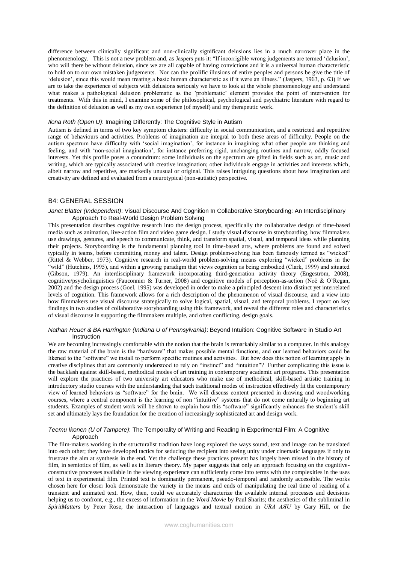difference between clinically significant and non-clinically significant delusions lies in a much narrower place in the phenomenology. This is not a new problem and, as Jaspers puts it: "If incorrigible wrong judgements are termed 'delusion', who will there be without delusion, since we are all capable of having convictions and it is a universal human characteristic to hold on to our own mistaken judgements. Nor can the prolific illusions of entire peoples and persons be give the title of 'delusion', since this would mean treating a basic human characteristic as if it were an illness." (Jaspers, 1963, p. 63) If we are to take the experience of subjects with delusions seriously we have to look at the whole phenomenology and understand what makes a pathological delusion problematic as the 'problematic' element provides the point of intervention for treatments. With this in mind, I examine some of the philosophical, psychological and psychiatric literature with regard to the definition of delusion as well as my own experience (of myself) and my therapeutic work.

## *Ilona Roth (Open U)*: Imagining Differently: The Cognitive Style in Autism

Autism is defined in terms of two key symptom clusters: difficulty in social communication, and a restricted and repetitive range of behaviours and activities. Problems of imagination are integral to both these areas of difficulty. People on the autism spectrum have difficulty with 'social imagination', for instance in imagining what other people are thinking and feeling, and with 'non-social imagination', for instance preferring rigid, unchanging routines and narrow, oddly focused interests. Yet this profile poses a conundrum: some individuals on the spectrum are gifted in fields such as art, music and writing, which are typically associated with creative imagination; other individuals engage in activities and interests which, albeit narrow and repetitive, are markedly unusual or original. This raises intriguing questions about how imagination and creativity are defined and evaluated from a neurotypical (non-autistic) perspective.

## B4: GENERAL SESSION

### *Janet Blatter (Independent)*: Visual Discourse And Cognition In Collaborative Storyboarding: An Interdisciplinary Approach To Real-World Design Problem Solving

This presentation describes cognitive research into the design process, specifically the collaborative design of time-based media such as animation, live-action film and video game design. I study visual discourse in storyboarding, how filmmakers use drawings, gestures, and speech to communicate, think, and transform spatial, visual, and temporal ideas while planning their projects. Storyboarding is the fundamental planning tool in time-based arts, where problems are found and solved typically in teams, before committing money and talent. Design problem-solving has been famously termed as "wicked" (Rittel & Webber, 1973). Cognitive research in real-world problem-solving means exploring "wicked" problems in the "wild" (Hutchins, 1995), and within a growing paradigm that views cognition as being embodied (Clark, 1999) and situated (Gibson, 1979). An interdisciplinary framework incorporating third-generation activity theory (Engeström, 2008), cognitive/psycholinguistics (Fauconnier & Turner, 2008) and cognitive models of perception-as-action (Noë & O'Regan, 2002) and the design process (Goel, 1995) was developed in order to make a principled descent into distinct yet interrelated levels of cognition. This framework allows for a rich description of the phenomenon of visual discourse, and a view into how filmmakers use visual discourse strategically to solve logical, spatial, visual, and temporal problems. I report on key findings in two studies of collaborative storyboarding using this framework, and reveal the different roles and characteristics of visual discourse in supporting the filmmakers multiple, and often conflicting, design goals.

### *Nathan Heuer & BA Harrington (Indiana U of Pennsylvania)*: Beyond Intuition: Cognitive Software in Studio Art Instruction

We are becoming increasingly comfortable with the notion that the brain is remarkably similar to a computer. In this analogy the raw material of the brain is the "hardware" that makes possible mental functions, and our learned behaviors could be likened to the "software" we install to perform specific routines and activities. But how does this notion of learning apply in creative disciplines that are commonly understood to rely on "instinct" and "intuition"? Further complicating this issue is the backlash against skill-based, methodical modes of art training in contemporary academic art programs. This presentation will explore the practices of two university art educators who make use of methodical, skill-based artistic training in introductory studio courses with the understanding that such traditional modes of instruction effectively fit the contemporary view of learned behaviors as "software" for the brain. We will discuss content presented in drawing and woodworking courses, where a central component is the learning of non "intuitive" systems that do not come naturally to beginning art students. Examples of student work will be shown to explain how this "software" significantly enhances the student's skill set and ultimately lays the foundation for the creation of increasingly sophisticated art and design work.

## *Teemu Ikonen (U of Tampere)*: The Temporality of Writing and Reading in Experimental Film: A Cognitive Approach

The film-makers working in the structuralist tradition have long explored the ways sound, text and image can be translated into each other; they have developed tactics for seducing the recipient into seeing unity under cinematic languages if only to frustrate the aim at synthesis in the end. Yet the challenge these practices present has largely been missed in the history of film, in semiotics of film, as well as in literary theory. My paper suggests that only an approach focusing on the cognitiveconstructive processes available in the viewing experience can sufficiently come into terms with the complexities in the uses of text in experimental film. Printed text is dominantly permanent, pseudo-temporal and randomly accessible. The works chosen here for closer look demonstrate the variety in the means and ends of manipulating the real time of reading of a transient and animated text. How, then, could we accurately characterize the available internal processes and decisions helping us to confront, e.g., the excess of information in the *Word Movie* by Paul Sharits; the aesthetics of the subliminal in *SpiritMatters* by Peter Rose, the interaction of languages and textual motion in *URA AЯU* by Gary Hill, or the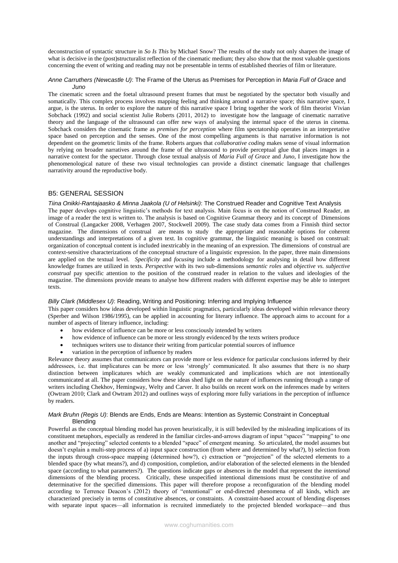deconstruction of syntactic structure in *So Is This* by Michael Snow? The results of the study not only sharpen the image of what is decisive in the (post)structuralist reflection of the cinematic medium; they also show that the most valuable questions concerning the event of writing and reading may not be presentable in terms of established theories of film or literature.

#### *Anne Carruthers (Newcastle U)*: The Frame of the Uterus as Premises for Perception in *Maria Full of Grace* and *Juno*

The cinematic screen and the foetal ultrasound present frames that must be negotiated by the spectator both visually and somatically. This complex process involves mapping feeling and thinking around a narrative space; this narrative space, I argue, is the uterus. In order to explore the nature of this narrative space I bring together the work of film theorist Vivian Sobchack (1992) and social scientist Julie Roberts (2011, 2012) to investigate how the language of cinematic narrative theory and the language of the ultrasound can offer new ways of analysing the internal space of the uterus in cinema. Sobchack considers the cinematic frame as *premises for perception* where film spectatorship operates in an interpretative space based on perception and the senses. One of the most compelling arguments is that narrative information is not dependent on the geometric limits of the frame. Roberts argues that *collaborative coding* makes sense of visual information by relying on broader narratives around the frame of the ultrasound to provide perceptual glue that places images in a narrative context for the spectator. Through close textual analysis of *Maria Full of Grace* and *Juno*, I investigate how the phenomenological nature of these two visual technologies can provide a distinct cinematic language that challenges narrativity around the reproductive body.

## B5: GENERAL SESSION

texts.

*Tiina Onikki-Rantajaasko & Minna Jaakola (U of Helsinki)*: The Construed Reader and Cognitive Text Analysis The paper develops cognitive linguistic's methods for text analysis. Main focus is on the notion of Construed Reader, an image of a reader the text is written to. The analysis is based on Cognitive Grammar theory and its concept of Dimensions of Construal (Langacker 2008, Verhagen 2007, Stockwell 2009). The case study data comes from a Finnish third sector magazine. The dimensions of construal are means to study the appropriate and reasonable options for coherent understandings and interpretations of a given text. In cognitive grammar, the linguistic meaning is based on construal: organization of conceptual content is included inextricably in the meaning of an expression. The dimensions of construal are context-sensitive characterizations of the conceptual structure of a linguistic expression. In the paper, three main dimensions are applied on the textual level. *Specificity* and *focusing* include a methodology for analysing in detail how different knowledge frames are utilized in texts. *Perspective* with its two sub-dimensions *semantic roles* and *objective vs. subjective construal* pay specific attention to the position of the construed reader in relation to the values and ideologies of the magazine. The dimensions provide means to analyse how different readers with different expertise may be able to interpret

## *Billy Clark (Middlesex U)*: Reading, Writing and Positioning: Inferring and Implying Influence

This paper considers how ideas developed within linguistic pragmatics, particularly ideas developed within relevance theory (Sperber and Wilson 1986/1995), can be applied in accounting for literary influence. The approach aims to account for a number of aspects of literary influence, including:

- how evidence of influence can be more or less consciously intended by writers
- how evidence of influence can be more or less strongly evidenced by the texts writers produce
- techniques writers use to distance their writing from particular potential sources of influence
- variation in the perception of influence by readers

Relevance theory assumes that communicators can provide more or less evidence for particular conclusions inferred by their addressees, i.e. that implicatures can be more or less 'strongly' communicated. It also assumes that there is no sharp distinction between implicatures which are weakly communicated and implications which are not intentionally communicated at all. The paper considers how these ideas shed light on the nature of influences running through a range of writers including Chekhov, Hemingway, Welty and Carver. It also builds on recent work on the inferences made by writers (Owtram 2010; Clark and Owtram 2012) and outlines ways of exploring more fully variations in the perception of influence by readers.

### *Mark Bruhn (Regis U)*: Blends are Ends, Ends are Means: Intention as Systemic Constraint in Conceptual Blending

Powerful as the conceptual blending model has proven heuristically, it is still bedeviled by the misleading implications of its constituent metaphors, especially as rendered in the familiar circles-and-arrows diagram of input "spaces" "mapping" to one another and "projecting" selected contents to a blended "space" of emergent meaning. So articulated, the model assumes but doesn't explain a multi-step process of a) input space construction (from where and determined by what?), b) selection from the inputs through cross-space mapping (determined how?), c) extraction or "projection" of the selected elements to a blended space (by what means?), and d) composition, completion, and/or elaboration of the selected elements in the blended space (according to what parameters?). The questions indicate gaps or absences in the model that represent the *intentional* dimensions of the blending process. Critically, these unspecified intentional dimensions must be constitutive of and determinative for the specified dimensions. This paper will therefore propose a reconfiguration of the blending model according to Terrence Deacon's (2012) theory of "ententional" or end-directed phenomena of all kinds, which are characterized precisely in terms of constitutive absences, or constraints. A constraint-based account of blending dispenses with separate input spaces—all information is recruited immediately to the projected blended workspace—and thus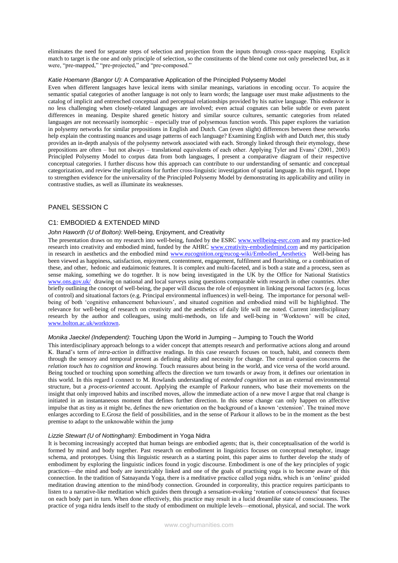eliminates the need for separate steps of selection and projection from the inputs through cross-space mapping. Explicit match to target is the one and only principle of selection, so the constituents of the blend come not only preselected but, as it were, "pre-mapped," "pre-projected," and "pre-composed."

### *Katie Hoemann (Bangor U)*: A Comparative Application of the Principled Polysemy Model

Even when different languages have lexical items with similar meanings, variations in encoding occur. To acquire the semantic spatial categories of another language is not only to learn words; the language user must make adjustments to the catalog of implicit and entrenched conceptual and perceptual relationships provided by his native language. This endeavor is no less challenging when closely-related languages are involved; even actual cognates can belie subtle or even patent differences in meaning. Despite shared genetic history and similar source cultures, semantic categories from related languages are not necessarily isomorphic – especially true of polysemous function words. This paper explores the variation in polysemy networks for similar prepositions in English and Dutch. Can (even slight) differences between these networks help explain the contrasting nuances and usage patterns of each language? Examining English *with* and Dutch *met*, this study provides an in-depth analysis of the polysemy network associated with each. Strongly linked through their etymology, these prepositions are often – but not always – translational equivalents of each other. Applying Tyler and Evans' (2001, 2003) Principled Polysemy Model to corpus data from both languages, I present a comparative diagram of their respective conceptual categories. I further discuss how this approach can contribute to our understanding of semantic and conceptual categorization, and review the implications for further cross-linguistic investigation of spatial language. In this regard, I hope to strengthen evidence for the universality of the Principled Polysemy Model by demonstrating its applicability and utility in contrastive studies, as well as illuminate its weaknesses.

## PANEL SESSION C

## C1: EMBODIED & EXTENDED MIND

### *John Haworth (U of Bolton)*: Well-being, Enjoyment, and Creativity

The presentation draws on my research into well-being, funded by the ESR[C www.wellbeing-esrc.com](http://www.wellbeing-esrc.com/) and my practice-led research into creativity and embodied mind, funded by the AHRC [www.creativity-embodiedmind.com](http://www.creativity-embodiedmind.com/) and my participation in research in aesthetics and the embodied mind www.eucognition.org/eucog-wiki/Embodied Aesthetics Well-being has been viewed as happiness, satisfaction, enjoyment, contentment, engagement, fulfilment and flourishing, or a combination of these, and other, hedonic and eudaimonic features. It is complex and multi-faceted, and is both a state and a process, seen as sense making, something we do together. It is now being investigated in the UK by the Office for National Statistics [www.ons.gov.uk/](http://www.ons.gov.uk/) drawing on national and local surveys using questions comparable with research in other countries. After briefly outlining the concept of well-being, the paper will discuss the role of enjoyment in linking personal factors (e.g. locus of control) and situational factors (e.g. Principal environmental influences) in well-being. The importance for personal wellbeing of both 'cognitive enhancement behaviours', and situated cognition and embodied mind will be highlighted. The relevance for well-being of research on creativity and the aesthetics of daily life will me noted. Current interdisciplinary research by the author and colleagues, using multi-methods, on life and well-being in 'Worktown' will be cited, [www.bolton.ac.uk/worktown.](http://www.bolton.ac.uk/worktown)

### *Monika Jaeckel (Independent)*: Touching Upon the World in Jumping – Jumping to Touch the World

This interdisciplinary approach belongs to a wider concept that attempts research and performative actions along and around K. Barad's term of *intra-action* in diffractive readings. In this case research focuses on touch, habit, and connects them through the sensory and temporal present as defining ability and necessity for change. The central question concerns the *relation touch has to cognition and knowing.* Touch reassures about being in the world, and vice versa of the world around. Being touched or touching upon something affects the direction we turn towards or away from, it defines our orientation in this world. In this regard I connect to M. Rowlands understanding of *extended cognition* not as an external environmental structure, but a *process-oriented* account. Applying the example of Parkour runners, who base their movements on the insight that only improved habits and inscribed moves, allow the immediate action of a new move I argue that real change is initiated in an instantaneous moment that defines further direction. In this sense change can only happen on affective impulse that as tiny as it might be, defines the new orientation on the background of a known 'extension'. The trained move enlarges according to E.Grosz the field of possibilities, and in the sense of Parkour it allows to be in the moment as the best premise to adapt to the unknowable within the jump

## *Lizzie Stewart (U of Nottingham)*: Embodiment in Yoga Nidra

It is becoming increasingly accepted that human beings are embodied agents; that is, their conceptualisation of the world is formed by mind and body together. Past research on embodiment in linguistics focuses on conceptual metaphor, image schema, and prototypes. Using this linguistic research as a starting point, this paper aims to further develop the study of embodiment by exploring the linguistic indices found in yogic discourse. Embodiment is one of the key principles of yogic practices—the mind and body are inextricably linked and one of the goals of practising yoga is to become aware of this connection. In the tradition of Satnayanda Yoga, there is a meditative practice called yoga nidra, which is an 'online' guided meditation drawing attention to the mind/body connection. Grounded in corporeality, this practice requires participants to listen to a narrative-like meditation which guides them through a sensation-evoking 'rotation of consciousness' that focuses on each body part in turn. When done effectively, this practice may result in a lucid dreamlike state of consciousness. The practice of yoga nidra lends itself to the study of embodiment on multiple levels—emotional, physical, and social. The work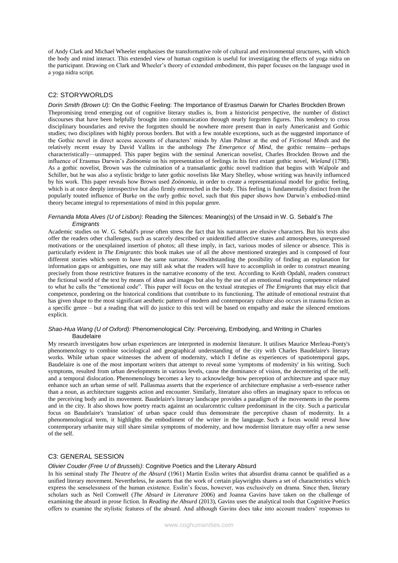of Andy Clark and Michael Wheeler emphasises the transformative role of cultural and environmental structures, with which the body and mind interact. This extended view of human cognition is useful for investigating the effects of yoga nidra on the participant. Drawing on Clark and Wheeler's theory of extended embodiment, this paper focuses on the language used in a yoga nidra script.

# C2: STORYWORLDS

*Dorin Smith (Brown U):* On the Gothic Feeling: The Importance of Erasmus Darwin for Charles Brockden Brown Thepromising trend emerging out of cognitive literary studies is, from a historicist perspective, the number of distinct discourses that have been helpfully brought into communication through nearly forgotten figures. This tendency to cross disciplinary boundaries and revive the forgotten should be nowhere more present than in early Americanist and Gothic studies; two disciplines with highly porous borders. But with a few notable exceptions, such as the suggested importance of the Gothic novel in direct access accounts of characters' minds by Alan Palmer at the end of *Fictional Minds* and the relatively recent essay by David Vallins in the anthology *The Emergence of Mind*, the gothic remains—perhaps characteristically—unmapped. This paper begins with the seminal American novelist, Charles Brockden Brown and the influence of Erasmus Darwin's *Zoönomia* on his representation of feelings in his first extant gothic novel, *Wieland* (1798). As a gothic novelist, Brown was the culmination of a transatlantic gothic novel tradition that begins with Walpole and Schiller, but he was also a stylistic bridge to later gothic novelists like Mary Shelley, whose writing was heavily influenced by his work. This paper reveals how Brown used *Zoönomia*, in order to create a representational model for gothic feeling, which is at once deeply introspective but also firmly entrenched in the body. This feeling is fundamentally distinct from the popularly touted influence of Burke on the early gothic novel, such that this paper shows how Darwin's embodied-mind theory became integral to representations of mind in this popular genre.

## *Fernanda Mota Alves (U of Lisbon)*: Reading the Silences: Meaning(s) of the Unsaid in W. G. Sebald's *The Emigrants*

Academic studies on W. G. Sebald's prose often stress the fact that his narrators are elusive characters. But his texts also offer the readers other challenges, such as scarcely described or unidentified affective states and atmospheres, unexpressed motivations or the unexplained insertion of photos; all these imply, in fact, various modes of silence or absence. This is particularly evident in *The Emigrants*: this book makes use of all the above mentioned strategies and is composed of four different stories which seem to have the same narrator. Notwithstanding the possibility of finding an explanation for information gaps or ambiguities, one may still ask what the readers will have to accomplish in order to construct meaning precisely from those restrictive features in the narrative economy of the text. According to Keith Opdahl, readers construct the fictional world of the text by means of ideas and images but also by the use of an emotional reading competence related to what he calls the "emotional code". This paper will focus on the textual strategies of *The Emigrants* that may elicit that competence, pondering on the historical conditions that contribute to its functioning. The attitude of emotional restraint that has given shape to the most significant aesthetic pattern of modern and contemporary culture also occurs in trauma fiction as a specific genre – but a reading that will do justice to this text will be based on empathy and make the silenced emotions explicit.

### *Shao-Hua Wang (U of Oxford):* Phenomenological City: Perceiving, Embodying, and Writing in Charles Baudelaire

My research investigates how urban experiences are interpreted in modernist literature. It utilises Maurice Merleau-Ponty's phenomenology to combine sociological and geographical understanding of the city with Charles Baudelaire's literary works. While urban space witnesses the advent of modernity, which I define as experiences of spatiotemporal gaps, Baudelaire is one of the most important writers that attempt to reveal some 'symptoms of modernity' in his writing. Such symptoms, resulted from urban developments in various levels, cause the dominance of vision, the decentering of the self, and a temporal dislocation. Phenomenology becomes a key to acknowledge how perception of architecture and space may enhance such an urban sense of self. Pallasmaa asserts that the experience of architecture emphasise a verb-essence rather than a noun, as architecture suggests action and encounter. Similarly, literature also offers an imaginary space to refocus on the perceiving body and its movement. Baudelaire's literary landscape provides a paradigm of the movements in the poems and in the city. It also shows how poetry reacts against an ocularcentric culture predominant in the city. Such a particular focus on Baudelaire's 'translation' of urban space could thus demonstrate the perceptive chasm of modernity. In a phenomenological term, it highlights the embodiment of the writer in the language. Such a focus would reveal how contemporary urbanite may still share similar symptoms of modernity, and how modernist literature may offer a new sense of the self.

## C3: GENERAL SESSION

## *Olivier Couder (Free U of Brussels)*: Cognitive Poetics and the Literary Absurd

In his seminal study *The Theatre of the Absurd* (1961) Martin Esslin writes that absurdist drama cannot be qualified as a unified literary movement. Nevertheless, he asserts that the work of certain playwrights shares a set of characteristics which express the senselessness of the human existence. Esslin's focus, however, was exclusively on drama. Since then, literary scholars such as Neil Cornwell (*The Absurd in Literature* 2006) and Joanna Gavins have taken on the challenge of examining the absurd in prose fiction. In *Reading the Absurd* (2013), Gavins uses the analytical tools that Cognitive Poetics offers to examine the stylistic features of the absurd. And although Gavins does take into account readers' responses to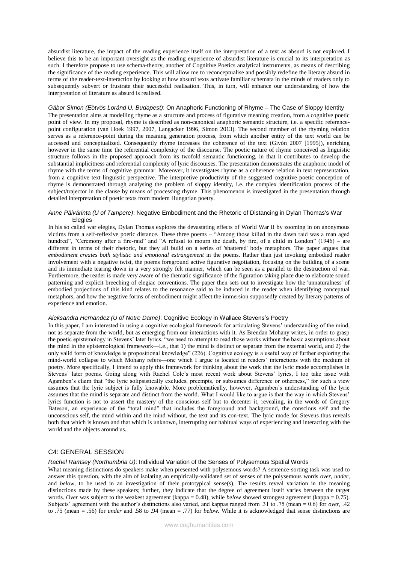absurdist literature, the impact of the reading experience itself on the interpretation of a text as absurd is not explored. I believe this to be an important oversight as the reading experience of absurdist literature is crucial to its interpretation as such. I therefore propose to use schema-theory, another of Cognitive Poetics analytical instruments, as means of describing the significance of the reading experience. This will allow me to reconceptualise and possibly redefine the literary absurd in terms of the reader-text-interaction by looking at how absurd texts activate familiar schemata in the minds of readers only to subsequently subvert or frustrate their successful realisation. This, in turn, will enhance our understanding of how the interpretation of literature as absurd is realised.

# *Gábor Simon (Eötvös Loránd U, Budapest)*: On Anaphoric Functioning of Rhyme – The Case of Sloppy Identity

The presentation aims at modelling rhyme as a structure and process of figurative meaning creation, from a cognitive poetic point of view. In my proposal, rhyme is described as non-canonical anaphoric semantic structure, i.e. a specific referencepoint configuration (van Hoek 1997, 2007, Langacker 1996, Simon 2013). The second member of the rhyming relation serves as a reference-point during the meaning generation process, from which another entity of the text world can be accessed and conceptualized. Consequently rhyme increases the coherence of the text (Givón 2007 [1995]), enriching however in the same time the referential complexity of the discourse. The poetic nature of rhyme conceived as linguistic structure follows in the proposed approach from its twofold semantic functioning, in that it contributes to develop the substantial implicitness and referential complexity of lyric discourses. The presentation demonstrates the anaphoric model of rhyme with the terms of cognitive grammar. Moreover, it investigates rhyme as a coherence relation in text representation, from a cognitive text linguistic perspective. The interpretive productivity of the suggested cognitive poetic conception of rhyme is demonstrated through analysing the problem of sloppy identity, i.e. the complex identification process of the subject/trajector in the clause by means of processing rhyme. This phenomenon is investigated in the presentation through detailed interpretation of poetic texts from modern Hungarian poetry.

### *Anne Päivärinta (U of Tampere)*: Negative Embodiment and the Rhetoric of Distancing in Dylan Thomas's War Elegies

In his so called war elegies, Dylan Thomas explores the devastating effects of World War II by zooming in on anonymous victims from a self-reflexive poetic distance. These three poems – "Among those killed in the dawn raid was a man aged hundred", "Ceremony after a fire-raid" and "A refusal to mourn the death, by fire, of a child in London" (1946) – are different in terms of their rhetoric, but they all build on a series of 'shattered' body metaphors. The paper argues that *embodiment creates both stylistic and emotional estrangement* in the poems. Rather than just invoking embodied reader involvement with a negative twist, the poems foreground active figurative negotiation, focusing on the building of a scene and its immediate tearing down in a very strongly felt manner, which can be seen as a parallel to the destruction of war. Furthermore, the reader is made very aware of the thematic significance of the figuration taking place due to elaborate sound patterning and explicit breeching of elegiac conventions. The paper then sets out to investigate how the 'unnaturalness' of embodied projections of this kind relates to the resonance said to be induced in the reader when identifying conceptual metaphors, and how the negative forms of embodiment might affect the immersion supposedly created by literary patterns of experience and emotion.

## *Aleksandra Hernandez (U of Notre Dame)*: Cognitive Ecology in Wallace Stevens's Poetry

In this paper, I am interested in using a cognitive ecological framework for articulating Stevens' understanding of the mind, not as separate from the world, but as emerging from our interactions with it. As Brendan Mohany writes, in order to grasp the poetic epistemology in Stevens' later lyrics, "we need to attempt to read those works without the basic assumptions about the mind in the epistemological framework—i.e., that 1) the mind is distinct or separate from the external world, and 2) the only valid form of knowledge is propositional knowledge" (226). Cognitive ecology is a useful way of further exploring the mind-world collapse to which Mohany refers—one which I argue is located in readers' interactions with the medium of poetry. More specifically, I intend to apply this framework for thinking about the work that the lyric mode accomplishes in Stevens' later poems. Going along with Rachel Cole's most recent work about Stevens' lyrics, I too take issue with Agamben's claim that "the lyric solipsistically excludes, preempts, or subsumes difference or otherness," for such a view assumes that the lyric subject is fully knowable. More problematically, however, Agamben's understanding of the lyric assumes that the mind is separate and distinct from the world. What I would like to argue is that the way in which Stevens' lyrics function is not to assert the mastery of the conscious self but to decenter it, revealing, in the words of Gregory Bateson, an experience of the "total mind" that includes the foreground and background, the conscious self and the unconscious self, the mind within and the mind without, the text and its con-text. The lyric mode for Stevens thus reveals both that which is known and that which is unknown, interrupting our habitual ways of experiencing and interacting with the world and the objects around us.

## C4: GENERAL SESSION

### *Rachel Ramsey (Northumbria U)*: Individual Variation of the Senses of Polysemous Spatial Words

What meaning distinctions do speakers make when presented with polysemous words? A sentence-sorting task was used to answer this question, with the aim of isolating an empirically-validated set of senses of the polysemous words *over, under,*  and *below*, to be used in an investigation of their prototypical sense(s). The results reveal variation in the meaning distinctions made by these speakers; further, they indicate that the degree of agreement itself varies between the target words. *Over* was subject to the weakest agreement (kappa = 0.48), while *below* showed strongest agreement (kappa = 0.75). Subjects' agreement with the author's distinctions also varied, and kappas ranged from .31 to .75 (mean = 0.6) for *over,* .42 to .75 (mean = .56) for *under* and .58 to .94 (mean = .77) for *below.* While it is acknowledged that sense distinctions are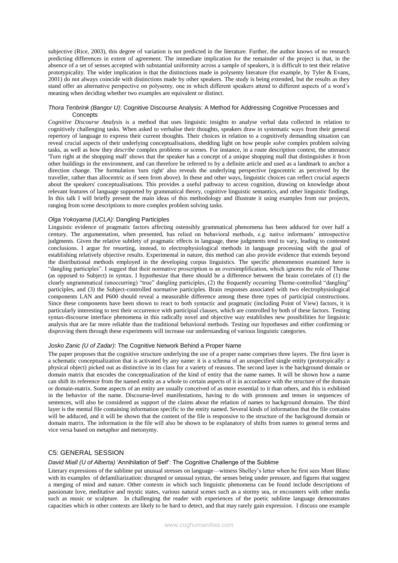subjective (Rice, 2003), this degree of variation is not predicted in the literature. Further, the author knows of no research predicting differences in extent of agreement. The immediate implication for the remainder of the project is that, in the absence of a set of senses accepted with substantial uniformity across a sample of speakers, it is difficult to test their relative prototypicality. The wider implication is that the distinctions made in polysemy literature (for example, by Tyler & Evans, 2001) do not always coincide with distinctions made by other speakers. The study is being extended, but the results as they stand offer an alternative perspective on polysemy, one in which different speakers attend to different aspects of a word's meaning when deciding whether two examples are equivalent or distinct.

## *Thora Tenbrink (Bangor U)*: Cognitive Discourse Analysis: A Method for Addressing Cognitive Processes and **Concepts**

*Cognitive Discourse Analysis* is a method that uses linguistic insights to analyse verbal data collected in relation to cognitively challenging tasks. When asked to verbalise their thoughts, speakers draw in systematic ways from their general repertory of language to express their current thoughts. Their choices in relation to a cognitively demanding situation can reveal crucial aspects of their underlying conceptualisations, shedding light on how people *solve* complex problem solving tasks, as well as how they *describe* complex problems or scenes. For instance, in a route description context, the utterance 'Turn right at the shopping mall' shows that the speaker has a concept of a unique shopping mall that distinguishes it from other buildings in the environment, and can therefore be referred to by a definite article and used as a landmark to anchor a direction change. The formulation 'turn right' also reveals the underlying perspective (egocentric as perceived by the traveller, rather than allocentric as if seen from above). In these and other ways, linguistic choices can reflect crucial aspects about the speakers' conceptualisations. This provides a useful pathway to access cognition, drawing on knowledge about relevant features of language supported by grammatical theory, cognitive linguistic semantics, and other linguistic findings. In this talk I will briefly present the main ideas of this methodology and illustrate it using examples from our projects, ranging from scene descriptions to more complex problem solving tasks.

### *Olga Yokoyama (UCLA)*: Dangling Participles

Linguistic evidence of pragmatic factors affecting ostensibly grammatical phenomena has been adduced for over half a century. The argumentation, when presented, has relied on behavioral methods, e.g. native informants' introspective judgments. Given the relative subtlety of pragmatic effects in language, these judgments tend to vary, leading to contested conclusions. I argue for resorting, instead, to electrophysiological methods in language processing with the goal of establishing relatively objective results. Experimental in nature, this method can also provide evidence that extends beyond the distributional methods employed in the developing corpus linguistics. The specific phenomenon examined here is "dangling participles". I suggest that their normative proscription is an oversimplification, which ignores the role of Theme (as opposed to Subject) in syntax. I hypothesize that there should be a difference between the brain correlates of (1) the clearly ungrammatical (unoccurring) "true" dangling participles, (2) the frequently occurring Theme-controlled "dangling" participles, and (3) the Subject-controlled normative participles. Brain responses associated with two electrophysiological components LAN and P600 should reveal a measurable difference among these three types of participial constructions. Since these components have been shown to react to both syntactic and pragmatic (including Point of View) factors, it is particularly interesting to test their occurrence with participial clauses, which are controlled by both of these factors. Testing syntax-discourse interface phenomena in this radically novel and objective way establishes new possibilities for linguistic analysis that are far more reliable than the traditional behavioral methods. Testing our hypotheses and either confirming or disproving them through these experiments will increase our understanding of various linguistic categories.

#### *Josko Zanic (U of Zadar)*: The Cognitive Network Behind a Proper Name

The paper proposes that the cognitive structure underlying the use of a proper name comprises three layers. The first layer is a schematic conceptualization that is activated by any name: it is a schema of an unspecified single entity (prototypically: a physical object) picked out as distinctive in its class for a variety of reasons. The second layer is the background domain or domain matrix that encodes the conceptualization of the kind of entity that the name names. It will be shown how a name can shift its reference from the named entity as a whole to certain aspects of it in accordance with the structure of the domain or domain-matrix. Some aspects of an entity are usually conceived of as more essential to it than others, and this is exhibited in the behavior of the name. Discourse-level manifestations, having to do with pronouns and tenses in sequences of sentences, will also be considered as support of the claims about the relation of names to background domains. The third layer is the mental file containing information specific to the entity named. Several kinds of information that the file contains will be adduced, and it will be shown that the content of the file is responsive to the structure of the background domain or domain matrix. The information in the file will also be shown to be explanatory of shifts from names to general terms and vice versa based on metaphor and metonymy.

## C5: GENERAL SESSION

### *David Miall (U of Alberta)* 'Annihilation of Self': The Cognitive Challenge of the Sublime

Literary expressions of the sublime put unusual stresses on language—witness Shelley's letter when he first sees Mont Blanc with its examples of defamiliarization: disrupted or unusual syntax, the senses being under pressure, and figures that suggest a merging of mind and nature. Other contexts in which such linguistic phenomena can be found include descriptions of passionate love, meditative and mystic states, various natural scenes such as a stormy sea, or encounters with other media such as music or sculpture. In challenging the reader with experiences of the poetic sublime language demonstrates capacities which in other contexts are likely to be hard to detect, and that may rarely gain expression. I discuss one example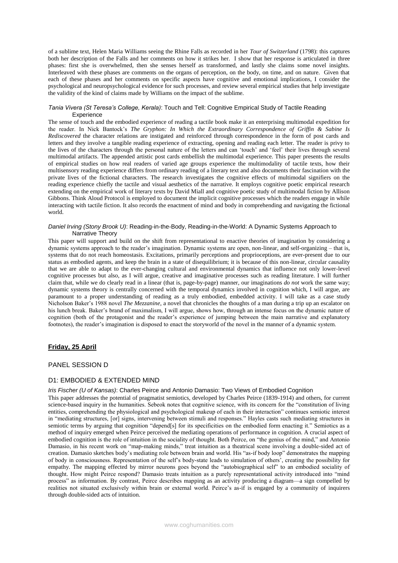of a sublime text, Helen Maria Williams seeing the Rhine Falls as recorded in her *Tour of Switzerland* (1798): this captures both her description of the Falls and her comments on how it strikes her. I show that her response is articulated in three phases: first she is overwhelmed, then she senses herself as transformed, and lastly she claims some novel insights. Interleaved with these phases are comments on the organs of perception, on the body, on time, and on nature. Given that each of these phases and her comments on specific aspects have cognitive and emotional implications, I consider the psychological and neuropsychological evidence for such processes, and review several empirical studies that help investigate the validity of the kind of claims made by Williams on the impact of the sublime.

## *Tania Vivera (St Teresa's College, Kerala)*: Touch and Tell: Cognitive Empirical Study of Tactile Reading **Experience**

The sense of touch and the embodied experience of reading a tactile book make it an enterprising multimodal expedition for the reader. In Nick Bantock's *The Gryphon: In Which the Extraordinary Correspondence of Griffin & Sabine Is Rediscovered* the character relations are instigated and reinforced through correspondence in the form of post cards and letters and they involve a tangible reading experience of extracting, opening and reading each letter. The reader is privy to the lives of the characters through the personal nature of the letters and can 'touch' and 'feel' their lives through several multimodal artifacts. The appended artistic post cards embellish the multimodal experience. This paper presents the results of empirical studies on how real readers of varied age groups experience the multimodality of tactile texts, how their multisensory reading experience differs from ordinary reading of a literary text and also documents their fascination with the private lives of the fictional characters. The research investigates the cognitive effects of multimodal signifiers on the reading experience chiefly the tactile and visual aesthetics of the narrative. It employs cognitive poetic empirical research extending on the empirical work of literary texts by David Miall and cognitive poetic study of multimodal fiction by Allison Gibbons. Think Aloud Protocol is employed to document the implicit cognitive processes which the readers engage in while interacting with tactile fiction. It also records the enactment of mind and body in comprehending and navigating the fictional world.

### *Daniel Irving (Stony Brook U)*: Reading-in-the-Body, Reading-in-the-World: A Dynamic Systems Approach to Narrative Theory

This paper will support and build on the shift from representational to enactive theories of imagination by considering a dynamic systems approach to the reader's imagination. Dynamic systems are open, non-linear, and self-organizing – that is, systems that do not reach homeostasis. Excitations, primarily perceptions and proprioceptions, are ever-present due to our status as embodied agents, and keep the brain in a state of disequilibrium; it is because of this non-linear, circular causality that we are able to adapt to the ever-changing cultural and environmental dynamics that influence not only lower-level cognitive processes but also, as I will argue, creative and imaginative processes such as reading literature. I will further claim that, while we do clearly read in a linear (that is, page-by-page) manner, our imaginations *do not* work the same way; dynamic systems theory is centrally concerned with the temporal dynamics involved in cognition which, I will argue, are paramount to a proper understanding of reading as a truly embodied, embedded activity. I will take as a case study Nicholson Baker's 1988 novel *The Mezzanine*, a novel that chronicles the thoughts of a man during a trip up an escalator on his lunch break. Baker's brand of maximalism, I will argue, shows how, through an intense focus on the dynamic nature of cognition (both of the protagonist and the reader's experience of jumping between the main narrative and explanatory footnotes), the reader's imagination is disposed to enact the storyworld of the novel in the manner of a dynamic system.

# **Friday, 25 April**

## PANEL SESSION D

## D1: EMBODIED & EXTENDED MIND

## *Iris Fischer (U of Kansas)*: Charles Peirce and Antonio Damasio: Two Views of Embodied Cognition

This paper addresses the potential of pragmatist semiotics, developed by Charles Peirce (1839-1914) and others, for current science-based inquiry in the humanities. Sebeok notes that cognitive science, with its concern for the "constitution of living entities, comprehending the physiological and psychological makeup of each in their interaction" continues semiotic interest in "mediating structures, [or] signs, intervening between stimuli and responses." Hayles casts such mediating structures in semiotic terms by arguing that cognition "depend[s] for its specificities on the embodied form enacting it." Semiotics as a method of inquiry emerged when Peirce perceived the mediating operations of performance in cognition. A crucial aspect of embodied cognition is the role of intuition in the sociality of thought. Both Peirce, on "the genius of the mind," and Antonio Damasio, in his recent work on "map-making minds," treat intuition as a theatrical scene involving a double-sided act of creation. Damasio sketches body's mediating role between brain and world. His "as-if body loop" demonstrates the mapping of body in consciousness. Representation of the self's body-state leads to simulation of others', creating the possibility for empathy. The mapping effected by mirror neurons goes beyond the "autobiographical self" to an embodied sociality of thought. How might Peirce respond? Damasio treats intuition as a purely representational activity introduced into "mind process" as information. By contrast, Peirce describes mapping as an activity producing a diagram—a sign compelled by realities not situated exclusively within brain or external world. Peirce's as-if is engaged by a community of inquirers through double-sided acts of intuition.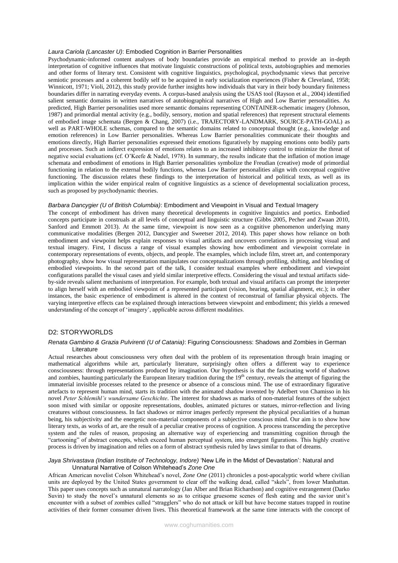#### *Laura Cariola (Lancaster U)*: Embodied Cognition in Barrier Personalities

Psychodynamic-informed content analyses of body boundaries provide an empirical method to provide an in-depth interpretation of cognitive influences that motivate linguistic constructions of political texts, autobiographies and memories and other forms of literary text. Consistent with cognitive linguistics, psychological, psychodynamic views that perceive semiotic processes and a coherent bodily self to be acquired in early socialization experiences (Fisher & Cleveland, 1958; Winnicott, 1971; Violi, 2012), this study provide further insights how individuals that vary in their body boundary finiteness boundaries differ in narrating everyday events. A corpus-based analysis using the USAS tool (Rayson et al., 2004) identified salient semantic domains in written narratives of autobiographical narratives of High and Low Barrier personalities. As predicted, High Barrier personalities used more semantic domains representing CONTAINER-schematic imagery (Johnson, 1987) and primordial mental activity (e.g., bodily, sensory, motion and spatial references) that represent structural elements of embodied image schemata (Bergen & Chang, 2007) (i.e., TRAJECTORY-LANDMARK, SOURCE-PATH-GOAL) as well as PART-WHOLE schemas, compared to the semantic domains related to conceptual thought (e.g., knowledge and emotion references) in Low Barrier personalities. Whereas Low Barrier personalities communicate their thoughts and emotions directly, High Barrier personalities expressed their emotions figuratively by mapping emotions onto bodily parts and processes. Such an indirect expression of emotions relates to an increased inhibitory control to minimize the threat of negative social evaluations (cf. O'Keefe & Nadel, 1978). In summary, the results indicate that the inflation of motion image schemata and embodiment of emotions in High Barrier personalities symbolize the Freudian (creative) mode of primordial functioning in relation to the external bodily functions, whereas Low Barrier personalities align with conceptual cognitive functioning. The discussion relates these findings to the interpretation of historical and political texts, as well as its implication within the wider empirical realm of cognitive linguistics as a science of developmental socialization process, such as proposed by psychodynamic theories.

#### *Barbara Dancygier (U of British Columbia)*: Embodiment and Viewpoint in Visual and Textual Imagery

The concept of embodiment has driven many theoretical developments in cognitive linguistics and poetics. Embodied concepts participate in construals at all levels of conceptual and linguistic structure (Gibbs 2005, Pecher and Zwaan 2010, Sanford and Emmott 2013). At the same time, viewpoint is now seen as a cognitive phenomenon underlying many communicative modalities (Bergen 2012, Dancygier and Sweetser 2012, 2014). This paper shows how reliance on both embodiment and viewpoint helps explain responses to visual artifacts and uncovers correlations in processing visual and textual imagery. First, I discuss a range of visual examples showing how embodiment and viewpoint correlate in contemporary representations of events, objects, and people. The examples, which include film, street art, and contemporary photography, show how visual representation manipulates our conceptualizations through profiling, shifting, and blending of embodied viewpoints. In the second part of the talk, I consider textual examples where embodiment and viewpoint configurations parallel the visual cases and yield similar interpretive effects. Considering the visual and textual artifacts sideby-side reveals salient mechanisms of interpretation. For example, both textual and visual artifacts can prompt the interpreter to align herself with an embodied viewpoint of a represented participant (vision, hearing, spatial alignment, etc.); in other instances, the basic experience of embodiment is altered in the context of reconstrual of familiar physical objects. The varying interpretive effects can be explained through interactions between viewpoint and embodiment; this yields a renewed understanding of the concept of 'imagery', applicable across different modalities.

# D2: STORYWORLDS

## *Renata Gambino & Grazia Pulvirenti (U of Catania)*: Figuring Consciousness: Shadows and Zombies in German Literature

Actual researches about consciousness very often deal with the problem of its representation through brain imaging or mathematical algorithms while art, particularly literature, surprisingly often offers a different way to experience consciousness: through representations produced by imagination. Our hypothesis is that the fascinating world of shadows and zombies, haunting particularly the European literary tradition during the 19<sup>th</sup> century, reveals the attempt of figuring the immaterial invisible processes related to the presence or absence of a conscious mind. The use of extraordinary figurative artefacts to represent human mind, starts its tradition with the animated shadow invented by Adelbert von Chamisso in his novel *Peter Schlemihl's wundersame Geschichte*. The interest for shadows as marks of non-material features of the subject soon mixed with similar or opposite representations, doubles, animated pictures or statues, mirror-reflection and living creatures without consciousness. In fact shadows or mirror images perfectly represent the physical peculiarities of a human being, his subjectivity and the energetic non-material components of a subjective conscious mind. Our aim is to show how literary texts, as works of art, are the result of a peculiar creative process of cognition. A process transcending the perceptive system and the rules of reason, proposing an alternative way of experiencing and transmitting cognition through the "cartooning" of abstract concepts, which exceed human perceptual system, into emergent figurations. This highly creative process is driven by imagination and relies on a form of abstract synthesis ruled by laws similar to that of dreams.

## *Jaya Shrivastava (Indian Institute of Technology, Indore)* 'New Life in the Midst of Devastation': Natural and Unnatural Narrative of Colson Whitehead's *Zone One*

African American novelist Colson Whitehead's novel, *Zone One* (2011) chronicles a post-apocalyptic world where civilian units are deployed by the United States government to clear off the walking dead, called "skels", from lower Manhattan. This paper uses concepts such as unnatural narratology (Jan Alber and Brian Richardson) and cognitive estrangement (Darko Suvin) to study the novel's unnatural elements so as to critique gruesome scenes of flesh eating and the savior unit's encounter with a subset of zombies called "stragglers" who do not attack or kill but have become statues trapped in routine activities of their former consumer driven lives. This theoretical framework at the same time interacts with the concept of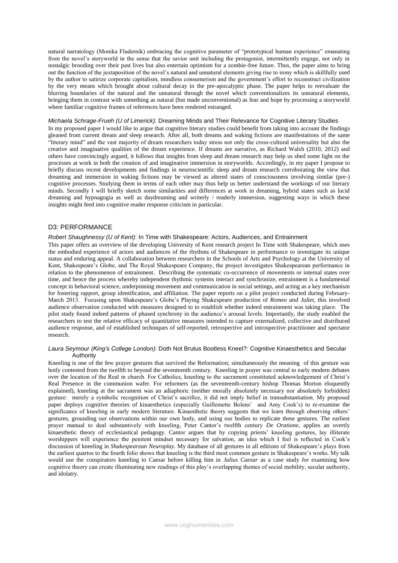natural narratology (Monika Fludernik) embracing the cognitive parameter of "prototypical human experience" emanating from the novel's storyworld in the sense that the savior unit including the protagonist, intermittently engage, not only in nostalgic brooding over their past lives but also entertain optimism for a zombie-free future. Thus, the paper aims to bring out the function of the juxtaposition of the novel's natural and unnatural elements giving rise to irony which is skillfully used by the author to satirize corporate capitalism, mindless consumerism and the government's effort to reconstruct civilization by the very means which brought about cultural decay in the pre-apocalyptic phase. The paper helps to reevaluate the blurring boundaries of the natural and the unnatural through the novel which conventionalizes its unnatural elements, bringing them in contrast with something as natural (but made unconventional) as fear and hope by processing a storyworld where familiar cognitive frames of references have been rendered estranged.

## *Michaela Schrage-Frueh (U of Limerick)*: Dreaming Minds and Their Relevance for Cognitive Literary Studies

In my proposed paper I would like to argue that cognitive literary studies could benefit from taking into account the findings gleaned from current dream and sleep research. After all, both dreams and waking fictions are manifestations of the same "literary mind" and the vast majority of dream researchers today stress not only the cross-cultural universality but also the creative and imaginative qualities of the dream experience. If dreams are narrative, as Richard Walsh (2010, 2012) and others have convincingly argued, it follows that insights from sleep and dream research may help us shed some light on the processes at work in both the creation of and imaginative immersion in storyworlds. Accordingly, in my paper I propose to briefly discuss recent developments and findings in neuroscientific sleep and dream research corroborating the view that dreaming and immersion in waking fictions may be viewed as altered states of consciousness involving similar (pre-) cognitive processes. Studying them in terms of each other may thus help us better understand the workings of our literary minds. Secondly I will briefly sketch some similarities and differences at work in dreaming, hybrid states such as lucid dreaming and hypnagogia as well as daydreaming and writerly / readerly immersion, suggesting ways in which these insights might feed into cognitive reader response criticism in particular.

## D3: PERFORMANCE

## *Robert Shaughnessy (U of Kent)*: In Time with Shakespeare: Actors, Audiences, and Entrainment

This paper offers an overview of the developing University of Kent research project In Time with Shakespeare, which uses the embodied experience of actors and audiences of the rhythms of Shakespeare in performance to investigate its unique status and enduring appeal. A collaboration between researchers in the Schools of Arts and Psychology at the University of Kent, Shakespeare's Globe, and The Royal Shakespeare Company, the project investigates Shakespearean performance in relation to the phenomenon of entrainment. Describing the systematic co-occurrence of movements or internal states over time, and hence the process whereby independent rhythmic systems interact and synchronize, entrainment is a fundamental concept in behavioral science, underpinning movement and communication in social settings, and acting as a key mechanism for fostering rapport, group identification, and affiliation. The paper reports on a pilot project conducted during February-March 2013. Focusing upon Shakespeare's Globe's Playing Shakespeare production of *Romeo and Juliet*, this involved audience observation conducted with measures designed to to establish whether indeed entrainment was taking place. The pilot study found indeed patterns of phased synchrony in the audience's arousal levels. Importantly, the study enabled the researchers to test the relative efficacy of quantitative measures intended to capture externalized, collective and distributed audience response, and of established techniques of self-reported, retrospective and introspective practitioner and spectator research.

#### *Laura Seymour (King's College London)*: Doth Not Brutus Bootless Kneel?: Cognitive Kinaesthetics and Secular **Authority**

Kneeling is one of the few prayer gestures that survived the Reformation; simultaneously the meaning of this gesture was hotly contested from the twelfth to beyond the seventeenth century. Kneeling in prayer was central to early modern debates over the location of the Real in church. For Catholics, kneeling to the sacrament constituted acknowledgement of Christ's Real Presence in the communion wafer. For reformers (as the seventeenth-century bishop Thomas Morton eloquently explained), kneeling at the sacrament was an adiaphoric (neither morally absolutely necessary nor absolutely forbidden) gesture: merely a symbolic recognition of Christ's sacrifice, it did not imply belief in transubstantiation. My proposed paper deploys cognitive theories of kinaesthetics (especially Guillemette Bolens' and Amy Cook's) to re-examine the significance of kneeling in early modern literature. Kinaesthetic theory suggests that we learn through observing others' gestures, grounding our observations within our own body, and using our bodies to replicate these gestures. The earliest prayer manual to deal substantively with kneeling, Peter Cantor's twelfth century *De Oratione*, applies an overtly kinaesthetic theory of ecclesiastical pedagogy. Cantor argues that by copying priests' kneeling gestures, lay illiterate worshippers will experience the penitent mindset necessary for salvation, an idea which I feel is reflected in Cook's discussion of kneeling in *Shakespearean Neuroplay*. My database of all gestures in all editions of Shakespeare's plays from the earliest quartos to the fourth folio shows that kneeling is the third most common gesture in Shakespeare's works. My talk would use the conspirators kneeling to Caesar before killing him in *Julius Caesar* as a case study for examining how cognitive theory can create illuminating new readings of this play's overlapping themes of social mobility, secular authority, and idolatry.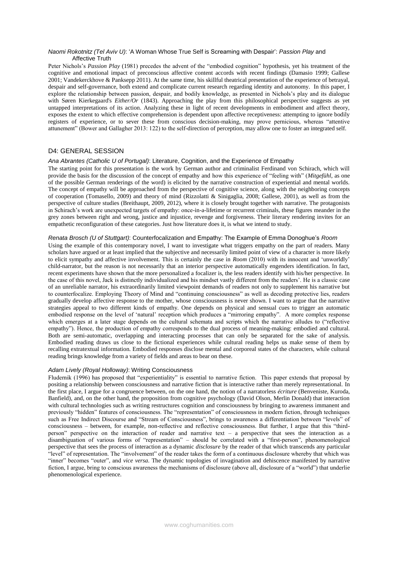### *Naomi Rokotnitz (Tel Aviv U)*: 'A Woman Whose True Self is Screaming with Despair': *Passion Play* and Affective Truth

Peter Nichols's *Passion Play* (1981) precedes the advent of the "embodied cognition" hypothesis, yet his treatment of the cognitive and emotional impact of preconscious affective content accords with recent findings (Damasio 1999; Gallese 2001; Vandekerckhove & Panksepp 2011). At the same time, his skillful theatrical presentation of the experience of betrayal, despair and self-governance, both extend and complicate current research regarding identity and autonomy. In this paper, I explore the relationship between passion, despair, and bodily knowledge, as presented in Nichols's play and its dialogue with Søren Kierkegaard's *Either/Or* (1843). Approaching the play from this philosophical perspective suggests as yet untapped interpretations of its action. Analyzing these in light of recent developments in embodiment and affect theory, exposes the extent to which effective comprehension is dependent upon affective receptiveness: attempting to ignore bodily registers of experience, or to sever these from conscious decision-making, may prove pernicious, whereas "attentive attunement" (Bower and Gallagher 2013: 122) to the self-direction of perception, may allow one to foster an integrated self.

# D4: GENERAL SESSION

### *Ana Abrantes (Catholic U of Portugal)*: Literature, Cognition, and the Experience of Empathy

The starting point for this presentation is the work by German author and criminalist Ferdinand von Schirach, which will provide the basis for the discussion of the concept of empathy and how this experience of "feeling with" (*Mitgefühl*, as one of the possible German renderings of the word) is elicited by the narrative construction of experiential and mental worlds. The concept of empathy will be approached from the perspective of cognitive science, along with the neighboring concepts of cooperation (Tomasello, 2009) and theory of mind (Rizzolatti & Sinigaglia, 2008; Gallese, 2001), as well as from the perspective of culture studies (Breithaupt, 2009, 2012), where it is closely brought together with narrative. The protagonists in Schirach's work are unexpected targets of empathy: once-in-a-lifetime or recurrent criminals, these figures meander in the grey zones between right and wrong, justice and injustice, revenge and forgiveness. Their literary rendering invites for an empathetic reconfiguration of these categories. Just how literature does it, is what we intend to study.

### *Renata Brosch (U of Stuttgart)*: Counterfocalization and Empathy: The Example of Emma Donoghue's *Room*

Using the example of this contemporary novel, I want to investigate what triggers empathy on the part of readers. Many scholars have argued or at least implied that the subjective and necessarily limited point of view of a character is more likely to elicit sympathy and affective involvement. This is certainly the case in *Room* (2010) with its innocent and 'unworldly' child-narrator, but the reason is not necessarily that an interior perspective automatically engenders identification. In fact, recent experiments have shown that the more personalized a focalizer is, the less readers identify with his/her perspective. In the case of this novel, Jack is distinctly individualized and his mindset vastly different from the readers'. He is a classic case of an unreliable narrator, his extraordinarily limited viewpoint demands of readers not only to supplement his narrative but to counterfocalize. Employing Theory of Mind and "continuing consciousness" as well as decoding protective lies, readers gradually develop affective response to the mother, whose consciousness is never shown. I want to argue that the narrative strategies appeal to two different kinds of empathy. One depends on physical and sensual cues to trigger an automatic embodied response on the level of 'natural' reception which produces a "mirroring empathy". A more complex response which emerges at a later stage depends on the cultural schemata and scripts which the narrative alludes to ("reflective empathy"). Hence, the production of empathy corresponds to the dual process of meaning-making: embodied and cultural. Both are semi-automatic, overlapping and interacting processes that can only be separated for the sake of analysis. Embodied reading draws us close to the fictional experiences while cultural reading helps us make sense of them by recalling extratextual information. Embodied responses disclose mental and corporeal states of the characters, while cultural reading brings knowledge from a variety of fields and areas to bear on these.

## *Adam Lively (Royal Holloway)*: Writing Consciousness

Fludernik (1996) has proposed that "experientiality" is essential to narrative fiction. This paper extends that proposal by positing a relationship between consciousness and narrative fiction that is interactive rather than merely representational. In the first place, I argue for a congruence between, on the one hand, the notion of a narratorless *écriture* (Benveniste, Kuroda, Banfield), and, on the other hand, the proposition from cognitive psychology (David Olson, Merlin Donald) that interaction with cultural technologies such as writing restructures cognition and consciousness by bringing to awareness immanent and previously "hidden" features of consciousness. The "representation" of consciousness in modern fiction, through techniques such as Free Indirect Discourse and "Stream of Consciousness", brings to awareness a differentiation between "levels" of consciousness – between, for example, non-reflective and reflective consciousness. But further, I argue that this "thirdperson" perspective on the interaction of reader and narrative text – a perspective that sees the interaction as a disambiguation of various forms of "representation" – should be correlated with a "first-person", phenomenological perspective that sees the process of interaction as a dynamic *disclosure* by the reader of that which transcends any particular "level" of representation. The "involvement" of the reader takes the form of a continuous disclosure whereby that which was "inner" becomes "outer", and *vice versa*. The dynamic topologies of invagination and dehiscence manifested by narrative fiction, I argue, bring to conscious awareness the mechanisms of disclosure (above all, disclosure of a "world") that underlie phenomenological experience.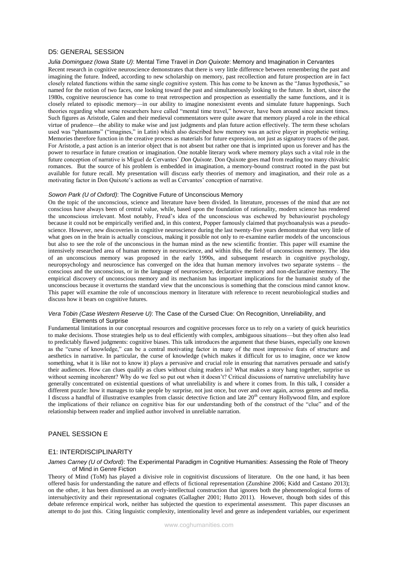## D5: GENERAL SESSION

## *Julia Dominguez (Iowa State U)*: Mental Time Travel in *Don Quixote*: Memory and Imagination in Cervantes

Recent research in cognitive neuroscience demonstrates that there is very little difference between remembering the past and imagining the future. Indeed, according to new scholarship on memory, past recollection and future prospection are in fact closely related functions within the same single cognitive system. This has come to be known as the "Janus hypothesis," so named for the notion of two faces, one looking toward the past and simultaneously looking to the future. In short, since the 1980s, cognitive neuroscience has come to treat retrospection and prospection as essentially the same functions, and it is closely related to episodic memory—in our ability to imagine nonexistent events and simulate future happenings. Such theories regarding what some researchers have called "mental time travel," however, have been around since ancient times. Such figures as Aristotle, Galen and their medieval commentators were quite aware that memory played a role in the ethical virtue of prudence—the ability to make wise and just judgments and plan future action effectively. The term these scholars used was "phantasms" ("imagines," in Latin) which also described how memory was an active player in prophetic writing. Memories therefore function in the creative process as materials for future expression, not just as signatory traces of the past. For Aristotle, a past action is an interior object that is not absent but rather one that is imprinted upon us forever and has the power to resurface in future creation or imagination. One notable literary work where memory plays such a vital role in the future conception of narrative is Miguel de Cervantes' *Don Quixote*. Don Quixote goes mad from reading too many chivalric romances. But the source of his problem is embedded in imagination, a memory-bound construct rooted in the past but available for future recall. My presentation will discuss early theories of memory and imagination, and their role as a motivating factor in Don Quixote's actions as well as Cervantes' conception of narrative.

#### *Sowon Park (U of Oxford)*: The Cognitive Future of Unconscious Memory

On the topic of the unconscious, science and literature have been divided. In literature, processes of the mind that are not conscious have always been of central value, while, based upon the foundation of rationality, modern science has rendered the unconscious irrelevant. Most notably, Freud's idea of the unconscious was eschewed by behaviourist psychology because it could not be empirically verified and, in this context, Popper famously claimed that psychoanalysis was a pseudoscience. However, new discoveries in cognitive neuroscience during the last twenty-five years demonstrate that very little of what goes on in the brain is actually conscious, making it possible not only to re-examine earlier models of the unconscious but also to see the role of the unconscious in the human mind as the new scientific frontier. This paper will examine the intensively researched area of human memory in neuroscience, and within this, the field of unconscious memory. The idea of an unconscious memory was proposed in the early 1990s, and subsequent research in cognitive psychology, neuropsychology and neuroscience has converged on the idea that human memory involves two separate systems – the conscious and the unconscious, or in the language of neuroscience, declarative memory and non-declarative memory. The empirical discovery of unconscious memory and its mechanism has important implications for the humanist study of the unconscious because it overturns the standard view that the unconscious is something that the conscious mind cannot know. This paper will examine the role of unconscious memory in literature with reference to recent neurobiological studies and discuss how it bears on cognitive futures.

## *Vera Tobin (Case Western Reserve U)*: The Case of the Cursed Clue: On Recognition, Unreliability, and Elements of Surprise

Fundamental limitations in our conceptual resources and cognitive processes force us to rely on a variety of quick heuristics to make decisions. Those strategies help us to deal efficiently with complex, ambiguous situations—but they often also lead to predictably flawed judgments: cognitive biases. This talk introduces the argument that these biases, especially one known as the "curse of knowledge," can be a central motivating factor in many of the most impressive feats of structure and aesthetics in narrative. In particular, the curse of knowledge (which makes it difficult for us to imagine, once we know something, what it is like not to know it) plays a pervasive and crucial role in ensuring that narratives persuade and satisfy their audiences. How can clues qualify as clues without cluing readers in? What makes a story hang together, surprise us without seeming incoherent? Why do we feel so put out when it doesn't? Critical discussions of narrative unreliability have generally concentrated on existential questions of what unreliability is and where it comes from. In this talk, I consider a different puzzle: how it manages to take people by surprise, not just once, but over and over again, across genres and media. I discuss a handful of illustrative examples from classic detective fiction and late 20<sup>th</sup> century Hollywood film, and explore the implications of their reliance on cognitive bias for our understanding both of the construct of the "clue" and of the relationship between reader and implied author involved in unreliable narration.

## PANEL SESSION E

### E1: INTERDISCIPLINARITY

### *James Carney (U of Oxford)*: The Experimental Paradigm in Cognitive Humanities: Assessing the Role of Theory of Mind in Genre Fiction

Theory of Mind (ToM) has played a divisive role in cognitivist discussions of literature. On the one hand, it has been offered basis for understanding the nature and effects of fictional representation (Zunshine 2006; Kidd and Castano 2013); on the other, it has been dismissed as an overly-intellectual construction that ignores both the phenomenological forms of intersubjectivity and their representational cognates (Gallagher 2001; Hutto 2011). However, though both sides of this debate reference empirical work, neither has subjected the question to experimental assessment. This paper discusses an attempt to do just this. Citing linguistic complexity, intentionality level and genre as independent variables, our experiment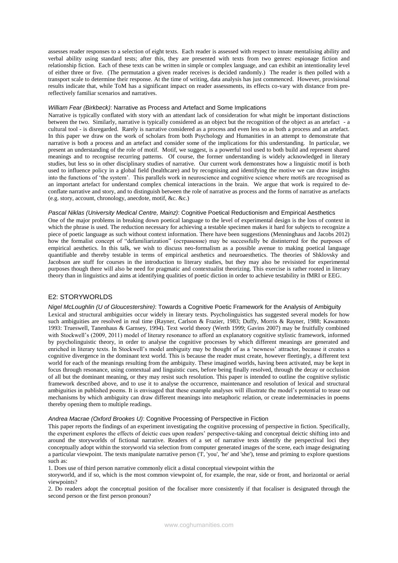assesses reader responses to a selection of eight texts. Each reader is assessed with respect to innate mentalising ability and verbal ability using standard tests; after this, they are presented with texts from two genres: espionage fiction and relationship fiction. Each of these texts can be written in simple or complex language, and can exhibit an intentionality level of either three or five. (The permutation a given reader receives is decided randomly.) The reader is then polled with a transport scale to determine their response. At the time of writing, data analysis has just commenced. However, provisional results indicate that, while ToM has a significant impact on reader assessments, its effects co-vary with distance from prereflectively familiar scenarios and narratives.

## *William Fear (Birkbeck)*: Narrative as Process and Artefact and Some Implications

Narrative is typically conflated with story with an attendant lack of consideration for what might be important distinctions between the two. Similarly, narrative is typically considered as an object but the recognition of the object as an artefact - a cultural tool - is disregarded. Rarely is narrative considered as a process and even less so as both a process and an artefact. In this paper we draw on the work of scholars from both Psychology and Humanities in an attempt to demonstrate that narrative is both a process and an artefact and consider some of the implications for this understanding. In particular, we present an understanding of the role of motif. Motif, we suggest, is a powerful tool used to both build and represent shared meanings and to recognise recurring patterns. Of course, the former understanding is widely acknowledged in literary studies, but less so in other disciplinary studies of narrative. Our current work demonstrates how a linguistic motif is both used to influence policy in a global field (healthcare) and by recognising and identifying the motive we can draw insights into the functions of 'the system'. This parallels work in neuroscience and cognitive science where motifs are recognised as an important artefact for understand complex chemical interactions in the brain. We argue that work is required to deconflate narrative and story, and to distinguish between the role of narrative as process and the forms of narrative as artefacts (e.g. story, account, chronology, anecdote, motif, &c. &c.)

### *Pascal Niklas (University Medical Centre, Mainz)*: Cognitive Poetical Reductionism and Empirical Aesthetics

One of the major problems in breaking down poetical language to the level of experimental design is the loss of context in which the phrase is used. The reduction necessary for achieving a testable specimen makes it hard for subjects to recognize a piece of poetic language as such without context information. There have been suggestions (Menninghaus and Jacobs 2012) how the formalist concept of "defamiliarization" (остранение) may be successfully be distinterred for the purposes of empirical aesthetics. In this talk, we wish to discuss neo-formalism as a possible avenue to making poetical language quantifiable and thereby testable in terms of empirical aesthetics and neuroaesthetics. The theories of Shklovsky and Jacobson are stuff for courses in the introduction to literary studies, but they may also be revisisted for experimental purposes though there will also be need for pragmatic and contextualist theorizing. This exercise is rather rooted in literary theory than in linguistics and aims at identifying qualities of poetic diction in order to achieve testability in fMRI or EEG.

# E2: STORYWORLDS

### *Nigel McLoughlin (U of Gloucestershire)*: Towards a Cognitive Poetic Framework for the Analysis of Ambiguity

Lexical and structural ambiguities occur widely in literary texts. Psycholinguistics has suggested several models for how such ambiguities are resolved in real time (Rayner, Carlson & Frazier, 1983; Duffy, Morris & Rayner, 1988; Kawamoto 1993: Trueswell, Tanenhaus & Garnsey, 1994). Text world theory (Werth 1999; Gavins 2007) may be fruitfully combined with Stockwell's (2009, 2011) model of literary resonance to afford an explanatory cognitive stylistic framework, informed by psycholinguistic theory, in order to analyse the cognitive processes by which different meanings are generated and enriched in literary texts. In Stockwell's model ambiguity may be thought of as a 'newness' attractor, because it creates a cognitive divergence in the dominant text world. This is because the reader must create, however fleetingly, a different text world for each of the meanings resulting from the ambiguity. These imagined worlds, having been activated, may be kept in focus through resonance, using contextual and linguistic cues, before being finally resolved, through the decay or occlusion of all but the dominant meaning, or they may resist such resolution. This paper is intended to outline the cognitive stylistic framework described above, and to use it to analyse the occurrence, maintenance and resolution of lexical and structural ambiguities in published poems. It is envisaged that these example analyses will illustrate the model's potential to tease out mechanisms by which ambiguity can draw different meanings into metaphoric relation, or create indeterminacies in poems thereby opening them to multiple readings.

#### *Andrea Macrae (Oxford Brookes U)*: Cognitive Processing of Perspective in Fiction

This paper reports the findings of an experiment investigating the cognitive processing of perspective in fiction. Specifically, the experiment explores the effects of deictic cues upon readers' perspective-taking and conceptual deictic shifting into and around the storyworlds of fictional narrative. Readers of a set of narrative texts identify the perspectival loci they conceptually adopt within the storyworld via selection from computer generated images of the scene, each image designating a particular viewpoint. The texts manipulate narrative person ('I', 'you', 'he' and 'she'), tense and priming to explore questions such as:

1. Does use of third person narrative commonly elicit a distal conceptual viewpoint within the

storyworld, and if so, which is the most common viewpoint of, for example, the rear, side or front, and horizontal or aerial viewpoints?

2. Do readers adopt the conceptual position of the focaliser more consistently if that focaliser is designated through the second person or the first person pronoun?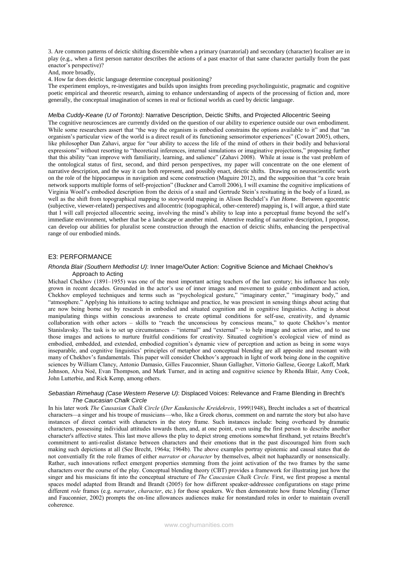3. Are common patterns of deictic shifting discernible when a primary (narratorial) and secondary (character) focaliser are in play (e.g., when a first person narrator describes the actions of a past enactor of that same character partially from the past enactor's perspective)?

And, more broadly,

4. How far does deictic language determine conceptual positioning?

The experiment employs, re-investigates and builds upon insights from preceding psycholinguistic, pragmatic and cognitive poetic empirical and theoretic research, aiming to enhance understanding of aspects of the processing of fiction and, more generally, the conceptual imagination of scenes in real or fictional worlds as cued by deictic language.

# *Melba Cuddy-Keane (U of Toronto)*: Narrative Description, Deictic Shifts, and Projected Allocentric Seeing

The cognitive neurosciences are currently divided on the question of our ability to experience outside our own embodiment. While some researchers assert that "the way the organism is embodied constrains the options available to it" and that "an organism's particular view of the world is a direct result of its functioning sensorimotor experiences" (Cowart 2005), others, like philosopher Dan Zahavi, argue for "our ability to access the life of the mind of others in their bodily and behavioral expressions" without resorting to "theoretical inferences, internal simulations or imaginative projections," proposing further that this ability "can improve with familiarity, learning, and salience" (Zahavi 2008). While at issue is the vast problem of the ontological status of first, second, and third person perspectives, my paper will concentrate on the one element of narrative description, and the way it can both represent, and possibly enact, deictic shifts. Drawing on neuroscientific work on the role of the hippocampus in navigation and scene construction (Maguire 2012), and the supposition that "a core brain network supports multiple forms of self-projection" (Buckner and Carroll 2006), I will examine the cognitive implications of Virginia Woolf's embodied description from the deixis of a snail and Gertrude Stein's resituating in the body of a lizard, as well as the shift from topographical mapping to storyworld mapping in Alison Bechdel's *Fun Home*. Between egocentric (subjective, viewer-related) perspectives and allocentric (topographical, other-centered) mapping is, I will argue, a third state that I will call projected allocentric seeing, involving the mind's ability to leap into a perceptual frame beyond the self's immediate environment, whether that be a landscape or another mind. Attentive reading of narrative description, I propose, can develop our abilities for pluralist scene construction through the enaction of deictic shifts, enhancing the perspectival range of our embodied minds.

### E3: PERFORMANCE

## *Rhonda Blair (Southern Methodist U)*: Inner Image/Outer Action: Cognitive Science and Michael Chekhov's Approach to Acting

Michael Chekhov (1891–1955) was one of the most important acting teachers of the last century; his influence has only grown in recent decades. Grounded in the actor's use of inner images and movement to guide embodiment and action, Chekhov employed techniques and terms such as "psychological gesture," "imaginary center," "imaginary body," and "atmosphere." Applying his intuitions to acting technique and practice, he was prescient in sensing things about acting that are now being borne out by research in embodied and situated cognition and in cognitive linguistics. Acting is about manipulating things within conscious awareness to create optimal conditions for self-use, creativity, and dynamic collaboration with other actors – skills to "reach the unconscious by conscious means," to quote Chekhov's mentor Stanislavsky. The task is to set up circumstances – "internal" and "external" – to help image and action arise, and to use those images and actions to nurture fruitful conditions for creativity. Situated cognition's ecological view of mind as embodied, embedded, and extended, embodied cognition's dynamic view of perception and action as being in some ways inseparable, and cognitive linguistics' principles of metaphor and conceptual blending are all apposite and resonant with many of Chekhov's fundamentals. This paper will consider Chekhov's approach in light of work being done in the cognitive sciences by William Clancy, Antonio Damasio, Gilles Fauconnier, Shaun Gallagher, Vittorio Gallese, George Lakoff, Mark Johnson, Alva Noë, Evan Thompson, and Mark Turner, and in acting and cognitive science by Rhonda Blair, Amy Cook, John Lutterbie, and Rick Kemp, among others.

### *Sebastian Rimehaug (Case Western Reserve U)*: Displaced Voices: Relevance and Frame Blending in Brecht's *The Caucasian Chalk Circle*

In his later work *The Causasian Chalk Circle* (*Der Kaukasische Kreidekreis*, 1999|1948), Brecht includes a set of theatrical characters*—*a singer and his troupe of musicians—who, like a Greek chorus, comment on and narrate the story but also have instances of direct contact with characters in the story frame. Such instances include: being overheard by dramatic characters, possessing individual attitudes towards them, and, at one point, even using the first person to describe another character's affective states. This last move allows the play to depict strong emotions somewhat firsthand, yet retains Brecht's commitment to anti-realist distance between characters and their emotions that in the past discouraged him from such making such depictions at all (See Brecht, 1964a; 1964b). The above examples portray epistemic and causal states that do not conventially fit the role frames of either *narrator* or *character* by themselves, albeit not haphazardly or nonsensically. Rather, such innovations reflect emergent properties stemming from the joint activation of the two frames by the same characters over the course of the play. Conceptual blending theory (CBT) provides a framework for illustrating just how the singer and his musicians fit into the conceptual structure of *The Caucasian Chalk Circle.* First, we first propose a mental spaces model adapted from Brandt and Brandt (2005) for how different speaker-addressee configurations on stage prime different *role* frames (e.g. *narrator*, *character*, etc.) for those speakers. We then demonstrate how frame blending (Turner and Fauconnier, 2002) prompts the on-line allowances audiences make for nonstandard roles in order to maintain overall coherence.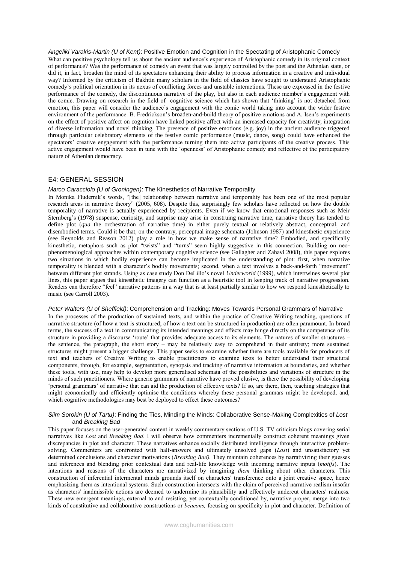### *Angeliki Varakis-Martin (U of Kent)*: Positive Emotion and Cognition in the Spectating of Aristophanic Comedy

What can positive psychology tell us about the ancient audience's experience of Aristophanic comedy in its original context of performance? Was the performance of comedy an event that was largely controlled by the poet and the Athenian state, or did it, in fact, broaden the mind of its spectators enhancing their ability to process information in a creative and individual way? Informed by the criticism of Bakhtin many scholars in the field of classics have sought to understand Aristophanic comedy's political orientation in its nexus of conflicting forces and unstable interactions. These are expressed in the festive performance of the comedy, the discontinuous narrative of the play, but also in each audience member's engagement with the comic. Drawing on research in the field of cognitive science which has shown that 'thinking' is not detached from emotion, this paper will consider the audience's engagement with the comic world taking into account the wider festive environment of the performance. B. Fredrickson's broaden-and-build theory of positive emotions and A. Isen's experiments on the effect of positive affect on cognition have linked positive affect with an increased capacity for creativity, integration of diverse information and novel thinking. The presence of positive emotions (e.g. joy) in the ancient audience triggered through particular celebratory elements of the festive comic performance (music, dance, song) could have enhanced the spectators' creative engagement with the performance turning them into active participants of the creative process. This active engagement would have been in tune with the 'openness' of Aristophanic comedy and reflective of the participatory nature of Athenian democracy.

## E4: GENERAL SESSION

### *Marco Caracciolo (U of Groningen)*: The Kinesthetics of Narrative Temporality

In Monika Fludernik's words, "[the] relationship between narrative and temporality has been one of the most popular research areas in narrative theory" (2005, 608). Despite this, surprisingly few scholars have reflected on how the double temporality of narrative is actually experienced by recipients. Even if we know that emotional responses such as Meir Sternberg's (1978) suspense, curiosity, and surprise may arise in construing narrative time, narrative theory has tended to define plot (*qua* the orchestration of narrative time) in either purely textual or relatively abstract, conceptual, and disembodied terms. Could it be that, on the contrary, perceptual image schemata (Johnson 1987) and kinesthetic experience (see Reynolds and Reason 2012) play a role in how we make sense of narrative time? Embodied, and specifically kinesthetic, metaphors such as plot "twists" and "turns" seem highly suggestive in this connection. Building on neophenomenological approaches within contemporary cognitive science (see Gallagher and Zahavi 2008), this paper explores two situations in which bodily experience can become implicated in the understanding of plot: first, when narrative temporality is blended with a character's bodily movements; second, when a text involves a back-and-forth "movement" between different plot strands. Using as case study Don DeLillo's novel *Underworld* (1999), which intertwines several plot lines, this paper argues that kinesthetic imagery can function as a heuristic tool in keeping track of narrative progression. Readers can therefore "feel" narrative patterns in a way that is at least partially similar to how we respond kinesthetically to music (see Carroll 2003).

### *Peter Walters (U of Sheffield)*: Comprehension and Tracking: Moves Towards Personal Grammars of Narrative

In the processes of the production of sustained texts, and within the practice of Creative Writing teaching, questions of narrative structure (of how a text is structured; of how a text can be structured in production) are often paramount. In broad terms, the success of a text in communicating its intended meanings and effects may hinge directly on the competence of its structure in providing a discourse 'route' that provides adequate access to its elements. The natures of smaller structures – the sentence, the paragraph, the short story – may be relatively easy to comprehend in their entirety; more sustained structures might present a bigger challenge. This paper seeks to examine whether there are tools available for producers of text and teachers of Creative Writing to enable practitioners to examine texts to better understand their structural components, through, for example, segmentation, synopsis and tracking of narrative information at boundaries, and whether these tools, with use, may help to develop more generalised schemata of the possibilities and variations of structure in the minds of such practitioners. Where generic grammars of narrative have proved elusive, is there the possibility of developing 'personal grammars' of narrative that can aid the production of effective texts? If so, are there, then, teaching strategies that might economically and efficiently optimise the conditions whereby these personal grammars might be developed, and, which cognitive methodologies may best be deployed to effect these outcomes?

### *Siim Sorokin (U of Tartu)*: Finding the Ties, Minding the Minds: Collaborative Sense-Making Complexities of *Lost* and *Breaking Bad*

This paper focuses on the user-generated content in weekly commentary sections of U.S. TV criticism blogs covering serial narratives like *Lost* and *Breaking Bad.* I will observe how commenters incrementally construct coherent meanings given discrepancies in plot and character. These narratives enhance socially distributed intelligence through interactive problemsolving. Commenters are confronted with half-answers and ultimately unsolved gaps (*Lost*) and unsatisfactory yet determined conclusions and character motivations (*Breaking Bad).* They maintain coherences by narrativizing their guesses and inferences and blending prior contextual data and real-life knowledge with incoming narrative inputs (*motifs*). The intentions and reasons of the characters are narrativized by imagining *them* thinking about other characters. This construction of inferential intermental minds grounds itself on characters' transference onto a joint creative space, hence emphasizing them as intentional systems*.* Such construction intersects with the claim of perceived narrative realism insofar as characters' inadmissible actions are deemed to undermine its plausibility and effectively undercut characters' realness. These new emergent meanings, external to and resisting, yet contextually conditioned by, narrative proper, merge into two kinds of constitutive and collaborative constructions or *beacons,* focusing on specificity in plot and character. Definition of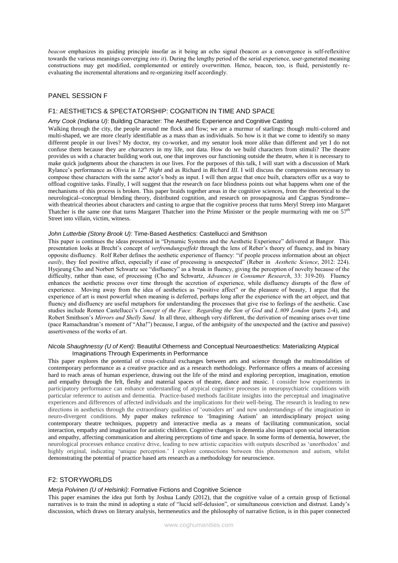*beacon* emphasizes its guiding principle insofar as it being an echo signal (beacon *as* a convergence is self-reflexitive towards the various meanings converging *into it*). During the lengthy period of the serial experience, user-generated meaning constructions may get modified, complemented or entirely overwritten. Hence, beacon, too, is fluid, persistently reevaluating the incremental alterations and re-organizing itself accordingly.

# PANEL SESSION F

## F1: AESTHETICS & SPECTATORSHIP: COGNITION IN TIME AND SPACE

## *Amy Cook (Indiana U)*: Building Character: The Aesthetic Experience and Cognitive Casting

Walking through the city, the people around me flock and flow; we are a murmur of starlings: though multi-colored and multi-shaped, we are more clearly identifiable as a mass than as individuals. So how is it that we come to identify so many different people in our lives? My doctor, my co-worker, and my senator look more alike than different and yet I do not confuse them because they are *characters* in my life, not data. How do we build characters from stimuli? The theatre provides us with a character building work out, one that improves our functioning outside the theatre, when it is necessary to make quick judgments about the characters in our lives. For the purposes of this talk, I will start with a discussion of Mark Rylance's performance as Olivia in *12th Night* and as Richard in *Richard III*. I will discuss the compressions necessary to compose these characters with the same actor's body as input. I will then argue that once built, characters offer us a way to offload cognitive tasks. Finally, I will suggest that the research on face blindness points out what happens when one of the mechanisms of this process is broken. This paper braids together areas in the cognitive sciences, from the theoretical to the neurological--conceptual blending theory, distributed cognition, and research on prosopagnosia and Capgras Syndrome- with theatrical theories about characters and casting to argue that the cognitive process that turns Meryl Streep into Margaret Thatcher is the same one that turns Margaret Thatcher into the Prime Minister or the people murmuring with me on  $57<sup>th</sup>$ Street into villain, victim, witness.

## *John Lutterbie (Stony Brook U)*: Time-Based Aesthetics: Castellucci and Smithson

This paper is continues the ideas presented in "Dynamic Systems and the Aesthetic Experience" delivered at Bangor. This presentation looks at Brecht's concept of *verfremdungseffekt* through the lens of Reber's theory of fluency, and its binary opposite disfluency. Rolf Reber defines the aesthetic experience of fluency: "if people process information about an object *easily*, they feel positive affect, especially if ease of processing is unexpected" (Reber in *Aesthetic Science*, 2012: 224). Hyejeung Cho and Norbert Schwartz see "disfluency" as a break in fluency, giving the perception of novelty because of the difficulty, rather than ease, of processing (Cho and Schwartz, *Advances in Consumer Research*, 33: 319-20). Fluency enhances the aesthetic process over time through the accretion of experience, while disfluency disrupts of the flow of experience. Moving away from the idea of aesthetics as "positive affect" or the pleasure of beauty, I argue that the experience of art is most powerful when meaning is deferred, perhaps long after the experience with the art object, and that fluency and disfluency are useful metaphors for understanding the processes that give rise to feelings of the aesthetic. Case studies include Romeo Castellucci's *Concept of the Face: Regarding the Son of God* and *L.#09 London* (parts 2-4), and Robert Smithson's *Mirrors and Shelly Sand*. In all three, although very different, the derivation of meaning arises over time (pace Ramachandran's moment of "Aha!") because, I argue, of the ambiguity of the unexpected and the (active and passive) assertiveness of the works of art.

### *Nicola Shaughnessy (U of Kent)*: Beautiful Otherness and Conceptual Neuroaesthetics: Materializing Atypical Imaginations Through Experiments in Performance

This paper explores the potential of cross-cultural exchanges between arts and science through the multimodalities of contemporary performance as a creative practice and as a research methodology. Performance offers a means of accessing hard to reach areas of human experience, drawing out the life of the mind and exploring perception, imagination, emotion and empathy through the felt, fleshy and material spaces of theatre, dance and music. I consider how experiments in participatory performance can enhance understanding of atypical cognitive processes in neuropsychiatric conditions with particular reference to autism and dementia. Practice-based methods facilitate insights into the perceptual and imaginative experiences and differences of affected individuals and the implications for their well-being. The research is leading to new directions in aesthetics through the extraordinary qualities of 'outsiders art' and new understandings of the imagination in neuro-divergent conditions. My paper makes reference to 'Imagining Autism' an interdisciplinary project using contemporary theatre techniques, puppetry and interactive media as a means of facilitating communication, social interaction, empathy and imagination for autistic children. Cognitive changes in dementia also impact upon social interaction and empathy, affecting communication and altering perceptions of time and space. In some forms of dementia, however, the neurological processes enhance creative drive, leading to new artistic capacities with outputs described as 'unorthodox' and highly original, indicating 'unique perception.' I explore connections between this phenomenon and autism, whilst demonstrating the potential of practice based arts research as a methodology for neuroscience.

## F2: STORYWORLDS

### *Merja Polvinen (U of Helsinki)*: Formative Fictions and Cognitive Science

This paper examines the idea put forth by Joshua Landy (2012), that the cognitive value of a certain group of fictional narratives is to train the mind in adopting a state of "lucid self-delusion", or simultaneous conviction and distrust. Landy's discussion, which draws on literary analysis, hermeneutics and the philosophy of narrative fiction, is in this paper connected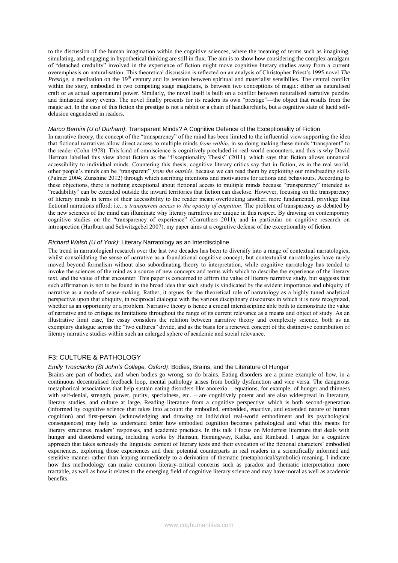to the discussion of the human imagination within the cognitive sciences, where the meaning of terms such as imagining, simulating, and engaging in hypothetical thinking are still in flux. The aim is to show how considering the complex amalgam of "detached credulity" involved in the experience of fiction might move cognitive literary studies away from a current overemphasis on naturalisation. This theoretical discussion is reflected on an analysis of Christopher Priest's 1995 novel *The Prestige*, a meditation on the 19<sup>th</sup> century and its tension between spiritual and materialist sensibilies. The central conflict within the story, embodied in two competing stage magicians, is between two conceptions of magic: either as naturalised craft or as actual supernatural power. Similarly, the novel itself is built on a conflict between naturalised narrative puzzles and fantastical story events. The novel finally presents for its readers its own "prestige"—the object that results from the magic act. In the case of this fiction the prestige is not a rabbit or a chain of handkerchiefs, but a cognitive state of lucid selfdelusion engendered in readers.

#### *Marco Bernini (U of Durham)*: Transparent Minds? A Cognitive Defence of the Exceptionality of Fiction

In narrative theory, the concept of the "transparency" of the mind has been limited to the influential view supporting the idea that fictional narratives allow direct access to multiple minds *from within*, in so doing making these minds "transparent" to the reader (Cohn 1978). This kind of omniscience is cognitively precluded in real-world encounters, and this is why David Herman labelled this view about fiction as the "Exceptionality Thesis" (2011), which says that fiction allows unnatural accessibility to individual minds. Countering this thesis, cognitive literary critics say that in fiction, as in the real world, other people's minds can be "transparent" *from the outside*, because we can read them by exploiting our mindreading skills (Palmer 2004; Zunshine 2012) through which ascribing intentions and motivations for actions and behaviours. According to these objections, there is nothing exceptional about fictional access to multiple minds because "transparency" intended as "readability" can be extended outside the inward territories that fiction can disclose. However, focusing on the transparency of literary minds in terms of their accessibility to the reader meant overlooking another, more fundamental, privilege that fictional narrations afford: i.e., *a transparent access to the opacity of cognition*. The problem of transparency as debated by the new sciences of the mind can illuminate why literary narratives are unique in this respect. By drawing on contemporary cognitive studies on the "transparency of experience" (Carruthers 2011), and in particular on cognitive research on introspection (Hurlburt and Schwitzgebel 2007), my paper aims at a cognitive defense of the exceptionality of fiction.

### *Richard Walsh (U of York)*: Literary Narratology as an Interdiscipline

The trend in narratological research over the last two decades has been to diversify into a range of contextual narratologies, whilst consolidating the sense of narrative as a foundational cognitive concept; but contextualist narratologies have rarely moved beyond formalism without also subordinating theory to interpretation, while cognitive narratology has tended to invoke the sciences of the mind as a source of new concepts and terms with which to describe the experience of the literary text, and the value of that encounter. This paper is concerned to affirm the value of literary narrative study, but suggests that such affirmation is not to be found in the broad idea that such study is vindicated by the evident importance and ubiquity of narrative as a mode of sense-making. Rather, it argues for the theoretical role of narratology as a highly tuned analytical perspective upon that ubiquity, in reciprocal dialogue with the various disciplinary discourses in which it is now recognized, whether as an opportunity or a problem. Narrative theory is hence a crucial interdiscipline able both to demonstrate the value of narrative and to critique its limitations throughout the range of its current relevance as a means and object of study. As an illustrative limit case, the essay considers the relation between narrative theory and complexity science, both as an exemplary dialogue across the "two cultures" divide, and as the basis for a renewed concept of the distinctive contribution of literary narrative studies within such an enlarged sphere of academic and social relevance.

## F3: CULTURE & PATHOLOGY

#### *Emily Troscianko (St John's College, Oxford)*: Bodies, Brains, and the Literature of Hunger

Brains are part of bodies, and when bodies go wrong, so do brains. Eating disorders are a prime example of how, in a continuous decentralised feedback loop, mental pathology arises from bodily dysfunction and vice versa. The dangerous metaphorical associations that help sustain eating disorders like anorexia – equations, for example, of hunger and thinness with self-denial, strength, power, purity, specialness, etc. – are cognitively potent and are also widespread in literature, literary studies, and culture at large. Reading literature from a cognitive perspective which is both second-generation (informed by cognitive science that takes into account the embodied, embedded, enactive, and extended nature of human cognition) and first-person (acknowledging and drawing on individual real-world embodiment and its psychological consequences) may help us understand better how embodied cognition becomes pathological and what this means for literary structures, readers' responses, and academic practices. In this talk I focus on Modernist literature that deals with hunger and disordered eating, including works by Hamsun, Hemingway, Kafka, and Rimbaud. I argue for a cognitive approach that takes seriously the linguistic content of literary texts and their evocation of the fictional characters' embodied experiences, exploring those experiences and their potential counterparts in real readers in a scientifically informed and sensitive manner rather than leaping immediately to a derivation of thematic (metaphorical/symbolic) meaning. I indicate how this methodology can make common literary-critical concerns such as paradox and thematic interpretation more tractable, as well as how it relates to the emerging field of cognitive literary science and may have moral as well as academic benefits.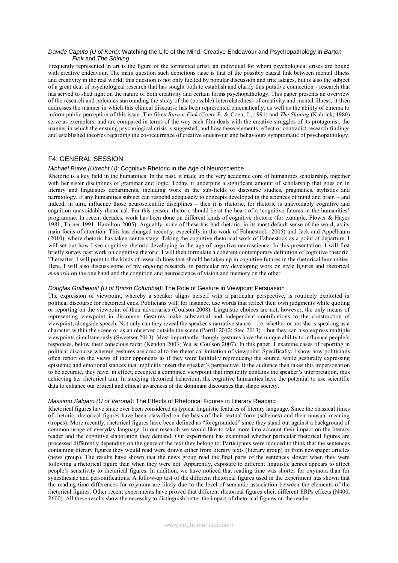### *Davide Caputo (U of Kent)*: Watching the Life of the Mind: Creative Endeavour and Psychopathology in *Barton Fink* and *The Shining*

Frequently represented in art is the figure of the tormented artist, an individual for whom psychological crises are bound with creative endeavour. The main question such depictions raise is that of the possibly causal link between mental illness and creativity in the real world; this question is not only fuelled by popular discussion and trite adages, but is also the subject of a great deal of psychological research that has sought both to establish and clarify this putative connection - research that has served to shed light on the nature of both creativity and certain forms psychopathology. This paper presents an overview of the research and polemics surrounding the study of the (possible) interrelatedness of creativity and mental illness; it then addresses the manner in which this clinical discourse has been represented cinematically, as well as the ability of cinema to inform public perception of this issue. The films *Barton Fink* (Coen, E. & Coen, J., 1991) and *The Shining* (Kubrick, 1980) serve as exemplars, and are compared in terms of the way each film deals with the creative struggles of its protagonist, the manner in which the ensuing psychological crisis is suggested, and how these elements reflect or contradict research findings and established theories regarding the co-occurrence of creative endeavour and behaviours symptomatic of psychopathology.

# F4: GENERAL SESSION

### *Michael Burke (Utrecht U)*: Cognitive Rhetoric in the Age of Neuroscience

Rhetoric is a key field in the humanities. In the past, it made up the very academic core of humanities scholarship, together with her sister disciplines of grammar and logic. Today, it underpins a significant amount of scholarship that goes on in literary and linguistics departments, including work in the sub-fields of discourse studies, pragmatics, stylistics and narratology. If any humanities subject can respond adequately to concepts developed in the sciences of mind and brain – and indeed, in turn, influence those neuroscientific disciplines – then it is rhetoric, for rhetoric is unavoidably cognitive and cognition unavoidably rhetorical. For this reason, rhetoric should be at the heart of a 'cognitive futures in the humanities' programme. In recent decades, work has been done on different kinds of cognitive rhetoric (for example, Flower & Hayes 1981, Turner 1991, Hamilton 2005). Arguably, none of these has had rhetoric, in its most default sense of the word, as its main focus of attention. This has changed recently, especially in the work of Fahnestock (2005) and Jack and Appelbaum (2010), where rhetoric has taken centre stage. Taking the cognitive rhetorical work of Fahnestock as a point of departure, I will set out how I see cognitive rhetoric developing in the age of cognitive neuroscience. In this presentation, I will first briefly survey past work on cognitive rhetoric. I will then formulate a coherent contemporary definition of cognitive rhetoric. Thereafter, I will point to the kinds of research lines that should be taken up in cognitive futures in the rhetorical humanities. Here, I will also discuss some of my ongoing research, in particular my developing work on style figures and rhetorical *memoria* on the one hand and the cognition and neuroscience of vision and memory on the other.

### *Douglas Guilbeault (U of British Columbia)*: The Role of Gesture in Viewpoint Persuasion

The expression of viewpoint, whereby a speaker aligns herself with a particular perspective, is routinely exploited in political discourse for rhetorical ends. Politicians will, for instance, use words that reflect their own judgments while quoting or reporting on the viewpoint of their adversaries (Coulson 2008). Linguistic choices are not, however, the only means of representing viewpoint in discourse. Gestures make substantial and independent contributions to the construction of viewpoint, alongside speech. Not only can they reveal the speaker's narrative stance – i.e. whether or not she is speaking as a character within the scene or as an observer outside the scene (Parrill 2012; Stec 2013) – but they can also express multiple viewpoints simultaneously (Sweetser 2013). Most importantly, though, gestures have the unique ability to influence people's responses, below their conscious radar (Kendon 2003; Wu & Coulson 2007). In this paper, I examine cases of reporting in political discourse wherein gestures are crucial to the rhetorical imitation of viewpoint. Specifically, I show how politicians often report on the views of their opponents as if they were faithfully reproducing the source, while gesturally expressing epistemic and emotional stances that implicitly insert the speaker's perspective. If the audience then takes this impersonation to be accurate, they have, in effect, accepted a combined viewpoint that implicitly contains the speaker's interpretation, thus achieving her rhetorical aim. In studying rhetorical behaviour, the cognitive humanities have the potential to use scientific data to enhance our critical and ethical awareness of the dominant discourses that shape society.

## *Massimo Salgaro (U of Verona)*: The Effects of Rhetorical Figures in Literary Reading

Rhetorical figures have since ever been considered as typical linguistic features of literary language. Since the classical times of rhetoric, rhetorical figures have been classified on the basis of their textual form (schemes) and their unusual meaning (tropes). More recently, rhetorical figures have been defined as "foregrounded" since they stand out against a background of common usage of everyday language. In our research we would like to take more into account their impact on the literary reader and the cognitive elaboration they demand. Our experiment has examined whether particular rhetorical figures are processed differently depending on the genre of the text they belong to. Participants were induced to think that the sentences containing literary figures they would read were drawn either from literary texts (literary group) or from newspaper articles (news group). The results have shown that the news group read the final parts of the sentences slower when they were following a rhetorical figure than when they were not. Apparently, exposure to different linguistic genres appears to affect people's sensitivity to rhetorical figures. In addition, we have noticed that reading time was shorter for oxymora than for synesthesiae and personifications. A follow-up test of the different rhetorical figures used in the experiment has shown that the reading time differences for oxymora are likely due to the level of semantic association between the elements of the rhetorical figures. Other recent experiments have proved that different rhetorical figures elicit different ERPs effects (N400, P600). All these results show the necessity to distinguish better the impact of rhetorical figures on the reader.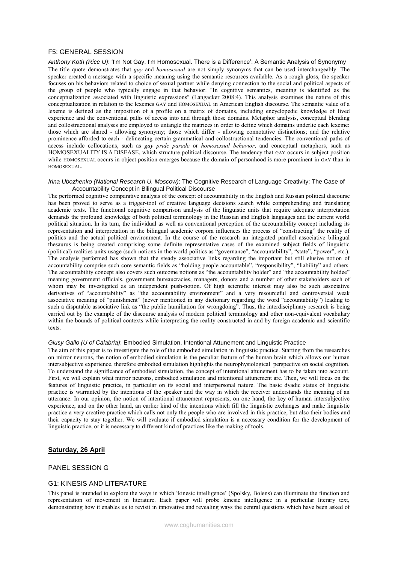## F5: GENERAL SESSION

*Anthony Koth (Rice U)*: 'I'm Not Gay, I'm Homosexual. There is a Difference': A Semantic Analysis of Synonymy The title quote demonstrates that *gay* and *homosexual* are not simply synonyms that can be used interchangeably. The speaker created a message with a specific meaning using the semantic resources available. As a rough gloss, the speaker focuses on his behaviors related to choice of sexual partner while denying connection to the social and political aspects of the group of people who typically engage in that behavior. "In cognitive semantics, meaning is identified as the conceptualization associated with linguistic expressions" (Langacker 2008:4). This analysis examines the nature of this conceptualization in relation to the lexemes GAY and HOMOSEXUAL in American English discourse. The semantic value of a lexeme is defined as the imposition of a profile on a matrix of domains, including encyclopedic knowledge of lived experience and the conventional paths of access into and through those domains. Metaphor analysis, conceptual blending and collostructional analyses are employed to untangle the matrices in order to define which domains underlie each lexeme: those which are shared - allowing synonymy; those which differ - allowing connotative distinctions; and the relative prominence afforded to each - delineating certain grammatical and collostructional tendencies. The conventional paths of access include collocations, such as *gay pride parade* or *homosexual behavior*, and conceptual metaphors, such as HOMOSEXUALITY IS A DISEASE, which structure political discourse. The tendency that GAY occurs in subject position while HOMOSEXUAL occurs in object position emerges because the domain of personhood is more prominent in GAY than in HOMOSEXUAL.

### *Irina Ubozhenko (National Research U, Moscow)*: The Cognitive Research of Language Creativity: The Case of Accountability Concept in Bilingual Political Discourse

The performed cognitive comparative analysis of the concept of accountability in the English and Russian political discourse has been proved to serve as a trigger-tool of creative language decisions search while comprehending and translating academic texts. The functional cognitive comparison analysis of the linguistic units that require adequate interpretation demands the profound knowledge of both political terminology in the Russian and English languages and the current world political situation. In its turn, the individual as well as conventional perception of the accountability concept including its representation and interpretation in the bilingual academic corpora influences the process of "constructing" the reality of politics and the actual political environment. In the course of the research an integrated parallel associative bilingual thesaurus is being created comprising some definite representative cases of the examined subject fields of linguistic (political) realities units usage (such notions in the world politics as "governance", "accountability", "state", "power", etc.). The analysis performed has shown that the steady associative links regarding the important but still elusive notion of accountability comprise such core semantic fields as "holding people accountable", "responsibility", "liability" and others. The accountability concept also covers such outcome notions as "the accountability holder" and "the accountability holdee" meaning government officials, government bureaucracies, managers, donors and a number of other stakeholders each of whom may be investigated as an independent push-notion. Of high scientific interest may also be such associative derivatives of "accountability" as "the accountability environment" and a very resourceful and controversial weak associative meaning of "punishment" (never mentioned in any dictionary regarding the word "accountability") leading to such a disputable associative link as "the public humiliation for wrongdoing". Thus, the interdisciplinary research is being carried out by the example of the discourse analysis of modern political terminology and other non-equivalent vocabulary within the bounds of political contexts while interpreting the reality constructed in and by foreign academic and scientific texts.

## *Giusy Gallo (U of Calabria)*: Embodied Simulation, Intentional Attunement and Linguistic Practice

The aim of this paper is to investigate the role of the embodied simulation in linguistic practice. Starting from the researches on mirror neurons, the notion of embodied simulation is the peculiar feature of the human brain which allows our human intersubjective experience, therefore embodied simulation highlights the neurophysiological perspective on social cognition. To understand the significance of embodied simulation, the concept of intentional attunement has to be taken into account. First, we will explain what mirror neurons, embodied simulation and intentional attunement are. Then, we will focus on the features of linguistic practice, in particular on its social and interpersonal nature. The basic dyadic status of linguistic practice is warranted by the intentions of the speaker and the way in which the receiver understands the meaning of an utterance. In our opinion, the notion of intentional attunement represents, on one hand, the key of human intersubjective experience, and on the other hand, an earlier kind of the intentions which fill the linguistic exchanges and make linguistic practice a very creative practice which calls not only the people who are involved in this practice, but also their bodies and their capacity to stay together. We will evaluate if embodied simulation is a necessary condition for the development of linguistic practice, or it is necessary to different kind of practices like the making of tools.

## **Saturday, 26 April**

## PANEL SESSION G

# G1: KINESIS AND LITERATURE

This panel is intended to explore the ways in which 'kinesic intelligence' (Spolsky, Bolens) can illuminate the function and representation of movement in literature. Each paper will probe kinesic intelligence in a particular literary text, demonstrating how it enables us to revisit in innovative and revealing ways the central questions which have been asked of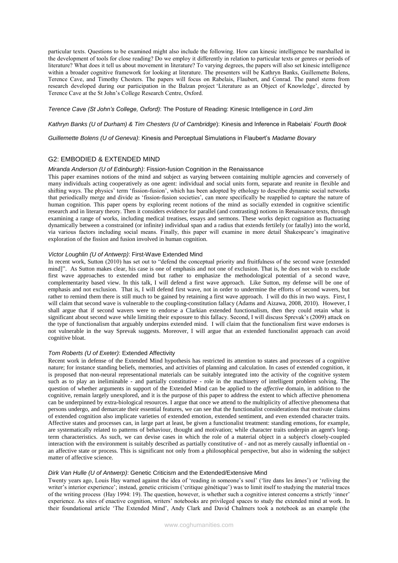particular texts. Questions to be examined might also include the following. How can kinesic intelligence be marshalled in the development of tools for close reading? Do we employ it differently in relation to particular texts or genres or periods of literature? What does it tell us about movement in literature? To varying degrees, the papers will also set kinesic intelligence within a broader cognitive framework for looking at literature. The presenters will be Kathryn Banks, Guillemette Bolens, Terence Cave, and Timothy Chesters. The papers will focus on Rabelais, Flaubert, and Conrad. The panel stems from research developed during our participation in the Balzan project 'Literature as an Object of Knowledge', directed by Terence Cave at the St John's College Research Centre, Oxford.

*Terence Cave (St John's College, Oxford)*: The Posture of Reading: Kinesic Intelligence in *Lord Jim*

*Kathryn Banks (U of Durham) & Tim Chesters (U of Cambridge*): Kinesis and Inference in Rabelais' *Fourth Book*

*Guillemette Bolens (U of Geneva)*: Kinesis and Perceptual Simulations in Flaubert's *Madame Bovary*

## G2: EMBODIED & EXTENDED MIND

#### *Miranda Anderson (U of Edinburgh)*: Fission-fusion Cognition in the Renaissance

This paper examines notions of the mind and subject as varying between containing multiple agencies and conversely of many individuals acting cooperatively as one agent: individual and social units form, separate and reunite in flexible and shifting ways. The physics' term 'fission-fusion', which has been adopted by ethology to describe dynamic social networks that periodically merge and divide as 'fission-fusion societies', can more specifically be reapplied to capture the nature of human cognition. This paper opens by exploring recent notions of the mind as socially extended in cognitive scientific research and in literary theory. Then it considers evidence for parallel (and contrasting) notions in Renaissance texts, through examining a range of works, including medical treatises, essays and sermons. These works depict cognition as fluctuating dynamically between a constrained (or infinite) individual span and a radius that extends fertilely (or fatally) into the world, via various factors including social means. Finally, this paper will examine in more detail Shakespeare's imaginative exploration of the fission and fusion involved in human cognition.

## *Victor Loughlin (U of Antwerp)*: First-Wave Extended Mind

In recent work, Sutton (2010) has set out to "defend the conceptual priority and fruitfulness of the second wave [extended mind]". As Sutton makes clear, his case is one of emphasis and not one of exclusion. That is, he does not wish to exclude first wave approaches to extended mind but rather to emphasize the methodological potential of a second wave, complementarity based view. In this talk, I will defend a first wave approach. Like Sutton, my defense will be one of emphasis and not exclusion. That is, I will defend first wave, not in order to undermine the efforts of second wavers, but rather to remind them there is still much to be gained by retaining a first wave approach. I will do this in two ways. First, I will claim that second wave is vulnerable to the coupling-constitution fallacy (Adams and Aizawa, 2008, 2010). However, I shall argue that if second wavers were to endorse a Clarkian extended functionalism, then they could retain what is significant about second wave while limiting their exposure to this fallacy. Second, I will discuss Sprevak's (2009) attack on the type of functionalism that arguably underpins extended mind. I will claim that the functionalism first wave endorses is not vulnerable in the way Sprevak suggests. Moreover, I will argue that an extended functionalist approach can avoid cognitive bloat.

## *Tom Roberts (U of Exeter)*: Extended Affectivity

Recent work in defense of the Extended Mind hypothesis has restricted its attention to states and processes of a cognitive nature; for instance standing beliefs, memories, and activities of planning and calculation. In cases of extended cognition, it is proposed that non-neural representational materials can be suitably integrated into the activity of the cognitive system such as to play an ineliminable - and partially constitutive - role in the machinery of intelligent problem solving. The question of whether arguments in support of the Extended Mind can be applied to the *affective* domain, in addition to the cognitive, remain largely unexplored, and it is the purpose of this paper to address the extent to which affective phenomena can be underpinned by extra-biological resources. I argue that once we attend to the multiplicity of affective phenomena that persons undergo, and demarcate their essential features, we can see that the functionalist considerations that motivate claims of extended cognition also implicate varieties of extended emotion, extended sentiment, and even extended character traits. Affective states and processes can, in large part at least, be given a functionalist treatment: standing emotions, for example, are systematically related to patterns of behaviour, thought and motivation; while character traits underpin an agent's longterm characteristics. As such, we can devise cases in which the role of a material object in a subject's closely-coupled interaction with the environment is suitably described as partially constitutive of - and not as merely causally influential on an affective state or process. This is significant not only from a philosophical perspective, but also in widening the subject matter of affective science.

#### *Dirk Van Hulle (U of Antwerp)*: Genetic Criticism and the Extended/Extensive Mind

Twenty years ago, Louis Hay warned against the idea of 'reading in someone's soul' ('lire dans les âmes') or 'reliving the writer's interior experience'; instead, genetic criticism ('critique génétique') was to limit itself to studying the material traces of the writing process (Hay 1994: 19). The question, however, is whether such a cognitive interest concerns a strictly 'inner' experience. As sites of enactive cognition, writers' notebooks are privileged spaces to study the extended mind at work. In their foundational article 'The Extended Mind', Andy Clark and David Chalmers took a notebook as an example (the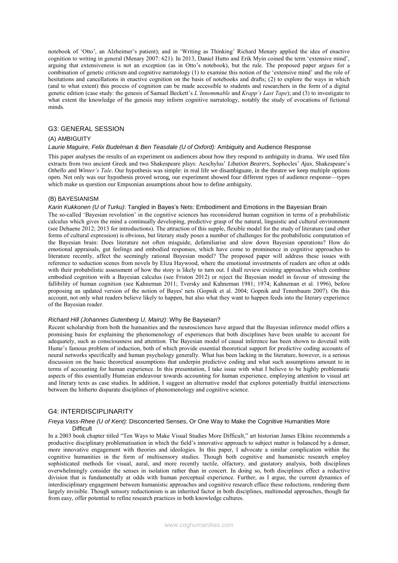notebook of 'Otto', an Alzheimer's patient); and in 'Writing as Thinking' Richard Menary applied the idea of enactive cognition to writing in general (Menary 2007: 621). In 2013, Daniel Hutto and Erik Myin coined the term 'extensive mind', arguing that extensiveness is not an exception (as in Otto's notebook), but the rule. The proposed paper argues for a combination of genetic criticism and cognitive narratology (1) to examine this notion of the 'extensive mind' and the role of hesitations and cancellations in enactive cognition on the basis of notebooks and drafts; (2) to explore the ways in which (and to what extent) this process of cognition can be made accessible to students and researchers in the form of a digital genetic edition (case study: the genesis of Samuel Beckett's *L'Innommable* and *Krapp's Last Tape*); and (3) to investigate to what extent the knowledge of the genesis may inform cognitive narratology, notably the study of evocations of fictional minds.

### G3: GENERAL SESSION

### (A) AMBIGUITY

#### *Laurie Maguire, Felix Budelman & Ben Teasdale (U of Oxford):* Ambiguity and Audience Response

This paper analyses the results of an experiment on audiences about how they respond to ambiguity in drama. We used film extracts from two ancient Greek and two Shakespeare plays: Aeschylus' *Libation Bearers*, Sophocles' *Ajax*, Shakespeare's *Othello* and *Winter's Tale*. Our hypothesis was simple: in real life we disambiguate, in the theatre we keep multiple options open. Not only was our hypothesis proved wrong, our experiment showed four different types of audience response—types which make us question our Empsonian assumptions about how to define ambiguity.

### (B) BAYESIANISM

#### *Karin Kukkonen (U of Turku)*: Tangled in Bayes's Nets: Embodiment and Emotions in the Bayesian Brain

The so-called 'Bayesian revolution' in the cognitive sciences has reconsidered human cognition in terms of a probabilistic calculus which gives the mind a continually developing, predictive grasp of the natural, linguistic and cultural environment (see Dehaene 2012; 2013 for introductions). The attraction of this supple, flexible model for the study of literature (and other forms of cultural expression) is obvious, but literary study poses a number of challenges for the probabilistic computation of the Bayesian brain: Does literature not often misguide, defamiliarise and slow down Bayesian operations? How do emotional appraisals, gut feelings and embodied responses, which have come to prominence in cognitive approaches to literature recently, affect the seemingly rational Bayesian model? The proposed paper will address these issues with reference to seduction scenes from novels by Eliza Haywood, where the emotional investments of readers are often at odds with their probabilistic assessment of how the story is likely to turn out. I shall review existing approaches which combine embodied cognition with a Bayesian calculus (see Friston 2012) or reject the Bayesian model in favour of stressing the fallibility of human cognition (see Kahneman 2011; Tversky and Kahneman 1981; 1974; Kahneman et al. 1996), before proposing an updated version of the notion of Bayes' nets (Gopnik et al. 2004; Gopnik and Tenenbaum 2007). On this account, not only what readers believe likely to happen, but also what they want to happen feeds into the literary experience of the Bayesian reader.

## *Richard Hill (Johannes Gutenberg U, Mainz)*: Why Be Bayseian?

Recent scholarship from both the humanities and the neurosciences have argued that the Bayesian inference model offers a promising basis for explaining the phenomenology of experiences that both disciplines have been unable to account for adequately, such as consciousness and attention. The Bayesian model of causal inference has been shown to dovetail with Hume's famous problem of induction, both of which provide essential theoretical support for predictive coding accounts of neural networks specifically and human psychology generally. What has been lacking in the literature, however, is a serious discussion on the basic theoretical assumptions that underpin predictive coding and what such assumptions amount to in terms of accounting for human experience. In this presentation, I take issue with what I believe to be highly problematic aspects of this essentially Humeian endeavour towards accounting for human experience, employing attention to visual art and literary texts as case studies. In addition, I suggest an alternative model that explores potentially fruitful intersections between the hitherto disparate disciplines of phenomenology and cognitive science.

### G4: INTERDISCIPLINARITY

### *Freya Vass-Rhee (U of Kent)*: Disconcerted Senses, Or One Way to Make the Cognitive Humanities More **Difficult**

In a 2003 book chapter titled "Ten Ways to Make Visual Studies More Difficult," art historian James Elkins recommends a productive disciplinary problematisation in which the field's innovative approach to subject matter is balanced by a denser, more innovative engagement with theories and ideologies. In this paper, I advocate a similar complication within the cognitive humanities in the form of multisensory studies. Though both cognitive and humanistic research employ sophisticated methods for visual, aural, and more recently tactile, olfactory, and gustatory analysis, both disciplines overwhelmingly consider the senses in isolation rather than in concert. In doing so, both disciplines effect a reductive division that is fundamentally at odds with human perceptual experience. Further, as I argue, the current dynamics of interdisciplinary engagement between humanistic approaches and cognitive research efface these reductions, rendering them largely invisible. Though sensory reductionism is an inherited factor in both disciplines, multimodal approaches, though far from easy, offer potential to refine research practices in both knowledge cultures.